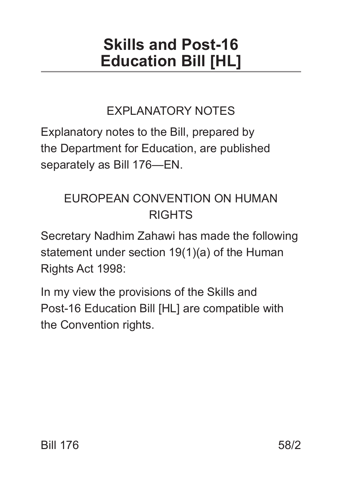# **Skills and Post-16 Education Bill [HL]**

# EXPLANATORY NOTES

Explanatory notes to the Bill, prepared by the Department for Education, are published separately as Bill 176—EN.

# EUROPEAN CONVENTION ON HUMAN RIGHTS

Secretary Nadhim Zahawi has made the following statement under section 19(1)(a) of the Human Rights Act 1998:

In my view the provisions of the Skills and Post-16 Education Bill [HL] are compatible with the Convention rights.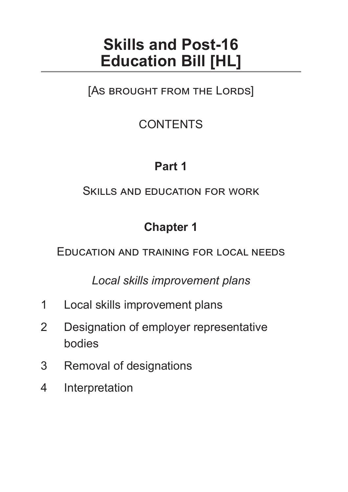# **Skills and Post-16 Education Bill [HL]**

[As brought from the Lords]

# **CONTENTS**

# **Part 1**

#### Skills and education for work

# **Chapter 1**

Education and training for local needs

*Local skills improvement plans*

- 1 Local skills improvement plans
- 2 Designation of employer representative bodies
- 3 Removal of designations
- 4 Interpretation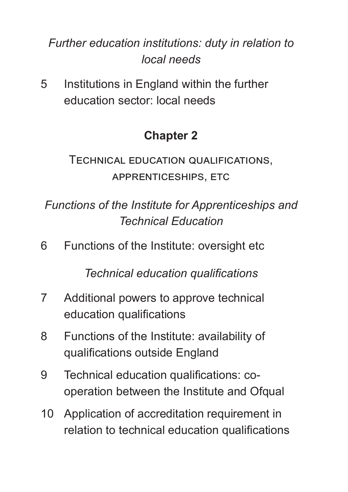# *Further education institutions: duty in relation to local needs*

5 Institutions in England within the further education sector: local needs

# **Chapter 2**

Technical education qualifications, apprenticeships, etc

*Functions of the Institute for Apprenticeships and Technical Education*

6 Functions of the Institute: oversight etc

*Technical education qualifications*

- 7 Additional powers to approve technical education qualifications
- 8 Functions of the Institute: availability of qualifications outside England
- 9 Technical education qualifications: cooperation between the Institute and Ofqual
- 10 Application of accreditation requirement in relation to technical education qualifications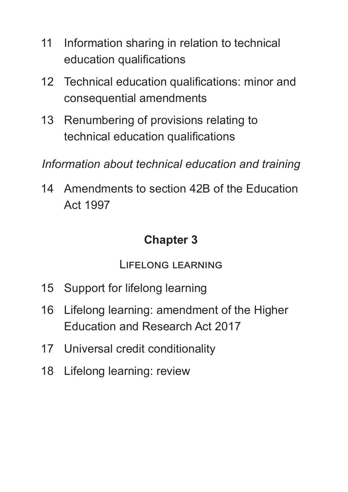- 11 Information sharing in relation to technical education qualifications
- 12 Technical education qualifications: minor and consequential amendments
- 13 Renumbering of provisions relating to technical education qualifications

*Information about technical education and training*

14 Amendments to section 42B of the Education Act 1997

#### **Chapter 3**

Lifelong learning

- 15 Support for lifelong learning
- 16 Lifelong learning: amendment of the Higher Education and Research Act 2017
- 17 Universal credit conditionality
- 18 Lifelong learning: review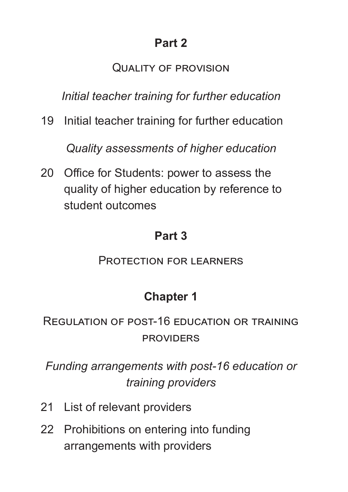#### Quality of provision

*Initial teacher training for further education*

19 Initial teacher training for further education

*Quality assessments of higher education*

20 Office for Students: power to assess the quality of higher education by reference to student outcomes

#### **Part 3**

Protection for learners

### **Chapter 1**

### Regulation of post-16 education or training **PROVIDERS**

*Funding arrangements with post-16 education or training providers*

- 21 List of relevant providers
- 22 Prohibitions on entering into funding arrangements with providers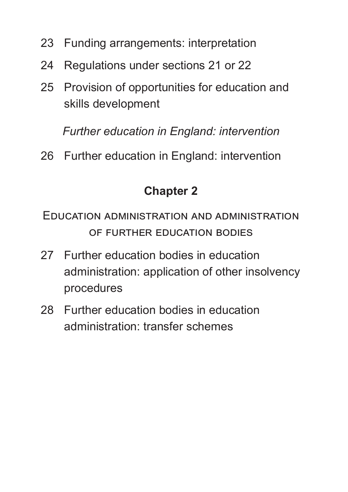- 23 Funding arrangements: interpretation
- 24 Regulations under sections 21 or 22
- 25 Provision of opportunities for education and skills development

*Further education in England: intervention*

26 Further education in England: intervention

### **Chapter 2**

Education administration and administration of further education bodies

- 27 Further education bodies in education administration: application of other insolvency procedures
- 28 Further education bodies in education administration: transfer schemes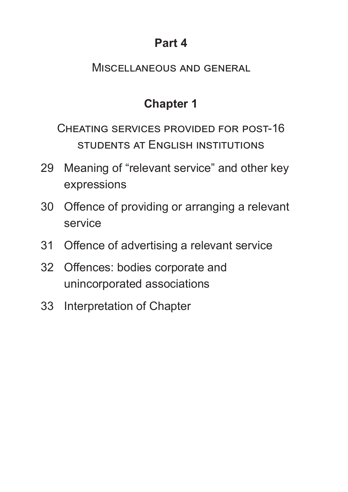### **Part 4**

#### Miscellaneous and general

# **Chapter 1**

Cheating services provided for post-16 students at English institutions

- 29 Meaning of "relevant service" and other key expressions
- 30 Offence of providing or arranging a relevant service
- 31 Offence of advertising a relevant service
- 32 Offences: bodies corporate and unincorporated associations
- 33 Interpretation of Chapter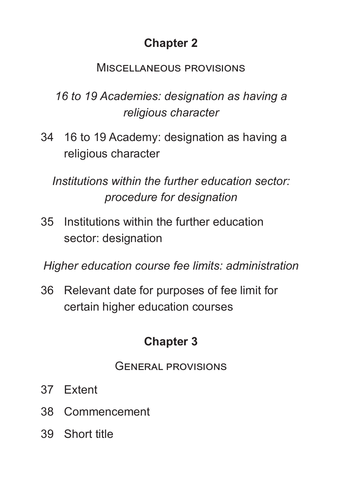# **Chapter 2**

#### Miscellaneous provisions

*16 to 19 Academies: designation as having a religious character*

34 16 to 19 Academy: designation as having a religious character

*Institutions within the further education sector: procedure for designation*

35 Institutions within the further education sector: designation

*Higher education course fee limits: administration*

36 Relevant date for purposes of fee limit for certain higher education courses

# **Chapter 3**

#### General provisions

- 37 Extent
- 38 Commencement
- 39 Short title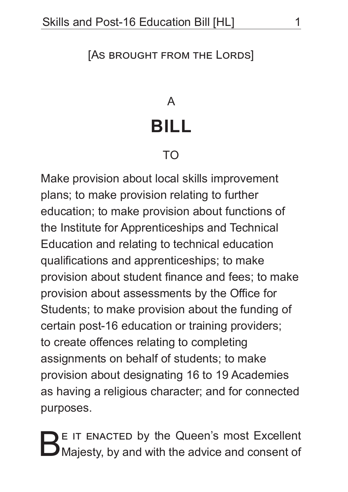#### [As brought from the Lords]

# A **BILL**

## TO

Make provision about local skills improvement plans; to make provision relating to further education; to make provision about functions of the Institute for Apprenticeships and Technical Education and relating to technical education qualifications and apprenticeships; to make provision about student finance and fees; to make provision about assessments by the Office for Students; to make provision about the funding of certain post-16 education or training providers; to create offences relating to completing assignments on behalf of students; to make provision about designating 16 to 19 Academies as having a religious character; and for connected purposes.

BE IT ENACTED by the Queen's most Excellent<br>
B Majesty, by and with the advice and consent of Majesty, by and with the advice and consent of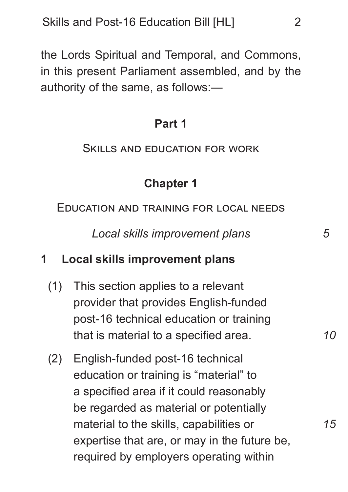the Lords Spiritual and Temporal, and Commons, in this present Parliament assembled, and by the authority of the same, as follows:—

#### **Part 1**

#### Skills and education for work

### **Chapter 1**

Education and training for local needs

*Local skills improvement plans*

#### **1 Local skills improvement plans**

- (1) This section applies to a relevant provider that provides English-funded post-16 technical education or training that is material to a specified area.
- (2) English-funded post-16 technical education or training is "material" to a specified area if it could reasonably be regarded as material or potentially material to the skills, capabilities or expertise that are, or may in the future be, required by employers operating within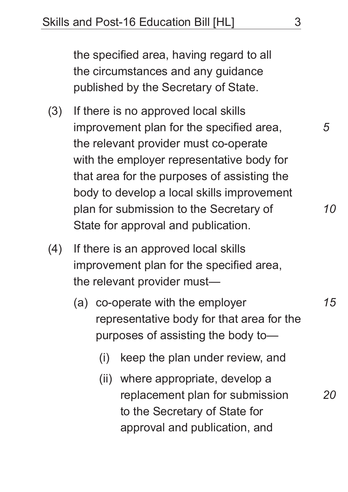the specified area, having regard to all the circumstances and any guidance published by the Secretary of State.

- (3) If there is no approved local skills improvement plan for the specified area, the relevant provider must co-operate with the employer representative body for that area for the purposes of assisting the body to develop a local skills improvement plan for submission to the Secretary of State for approval and publication.
- (4) If there is an approved local skills improvement plan for the specified area, the relevant provider must—
	- (a) co-operate with the employer representative body for that area for the purposes of assisting the body to—
		- (i) keep the plan under review, and
		- (ii) where appropriate, develop a replacement plan for submission to the Secretary of State for approval and publication, and *20*

*5*

*10*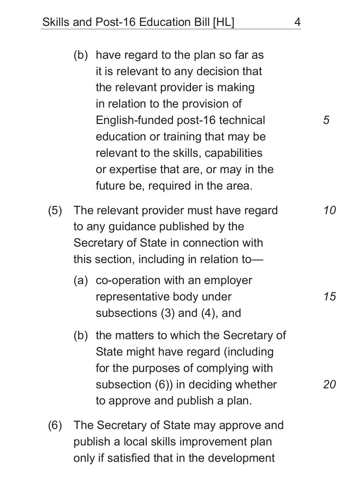- (b) have regard to the plan so far as it is relevant to any decision that the relevant provider is making in relation to the provision of English-funded post-16 technical education or training that may be relevant to the skills, capabilities or expertise that are, or may in the future be, required in the area.
- (5) The relevant provider must have regard to any guidance published by the Secretary of State in connection with this section, including in relation to—
	- (a) co-operation with an employer representative body under subsections (3) and (4), and
	- (b) the matters to which the Secretary of State might have regard (including for the purposes of complying with subsection (6)) in deciding whether to approve and publish a plan.
- (6) The Secretary of State may approve and publish a local skills improvement plan only if satisfied that in the development

*15*

*10*

*5*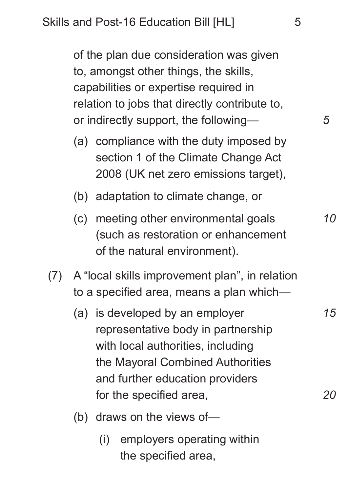of the plan due consideration was given to, amongst other things, the skills, capabilities or expertise required in relation to jobs that directly contribute to, or indirectly support, the following—

- (a) compliance with the duty imposed by section 1 of the Climate Change Act 2008 (UK net zero emissions target),
- (b) adaptation to climate change, or
- (c) meeting other environmental goals (such as restoration or enhancement of the natural environment).
- (7) A "local skills improvement plan", in relation to a specified area, means a plan which—
	- (a) is developed by an employer representative body in partnership with local authorities, including the Mayoral Combined Authorities and further education providers for the specified area,
	- (b) draws on the views of—
		- (i) employers operating within the specified area,

*15*

*20*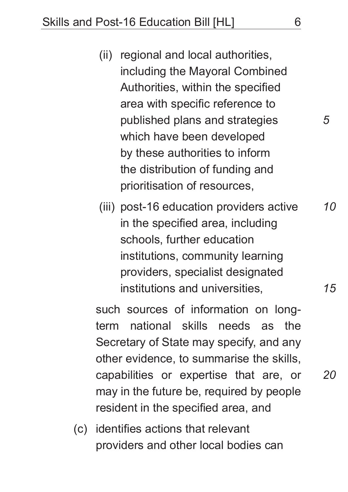- (ii) regional and local authorities, including the Mayoral Combined Authorities, within the specified area with specific reference to published plans and strategies which have been developed by these authorities to inform the distribution of funding and prioritisation of resources,
- (iii) post-16 education providers active in the specified area, including schools, further education institutions, community learning providers, specialist designated institutions and universities, *10*

such sources of information on longterm national skills needs as the Secretary of State may specify, and any other evidence, to summarise the skills, capabilities or expertise that are, or may in the future be, required by people resident in the specified area, and

(c) identifies actions that relevant providers and other local bodies can *15*

*20*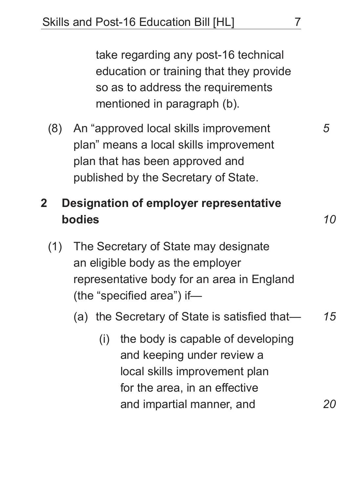take regarding any post-16 technical education or training that they provide so as to address the requirements mentioned in paragraph (b).

(8) An "approved local skills improvement plan" means a local skills improvement plan that has been approved and published by the Secretary of State.

# **2 Designation of employer representative bodies**

- (1) The Secretary of State may designate an eligible body as the employer representative body for an area in England (the "specified area") if—
	- (a) the Secretary of State is satisfied that— *15*
		- (i) the body is capable of developing and keeping under review a local skills improvement plan for the area, in an effective and impartial manner, and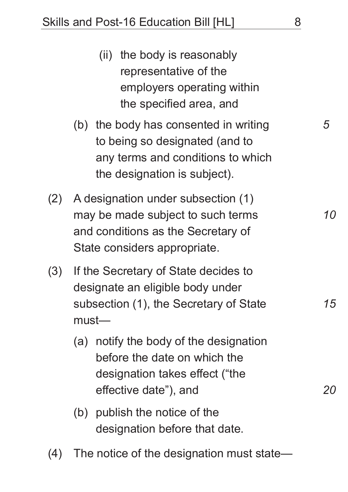- (ii) the body is reasonably representative of the employers operating within the specified area, and
- (b) the body has consented in writing to being so designated (and to any terms and conditions to which the designation is subject).
- (2) A designation under subsection (1) may be made subject to such terms and conditions as the Secretary of State considers appropriate.
- (3) If the Secretary of State decides to designate an eligible body under subsection (1), the Secretary of State must—
	- (a) notify the body of the designation before the date on which the designation takes effect ("the effective date"), and
	- (b) publish the notice of the designation before that date.
- (4) The notice of the designation must state—

*5*

*10*

*20*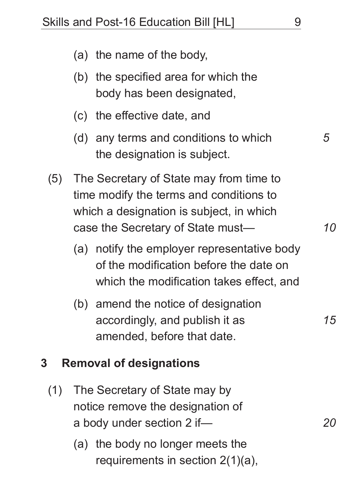|     |     | (a) the name of the body,                                                                                                                                           |    |
|-----|-----|---------------------------------------------------------------------------------------------------------------------------------------------------------------------|----|
|     |     | (b) the specified area for which the<br>body has been designated,                                                                                                   |    |
|     |     | (c) the effective date, and                                                                                                                                         |    |
|     |     | (d) any terms and conditions to which<br>the designation is subject.                                                                                                | 5  |
| (5) |     | The Secretary of State may from time to<br>time modify the terms and conditions to<br>which a designation is subject, in which<br>case the Secretary of State must- | 10 |
|     | (a) | notify the employer representative body<br>of the modification before the date on<br>which the modification takes effect, and                                       |    |
|     |     | (b) amend the notice of designation<br>accordingly, and publish it as<br>amended, before that date.                                                                 | 15 |
| 3   |     | <b>Removal of designations</b>                                                                                                                                      |    |
| (1) |     | The Secretary of State may by                                                                                                                                       |    |

- notice remove the designation of a body under section 2 if—
	- (a) the body no longer meets the requirements in section 2(1)(a),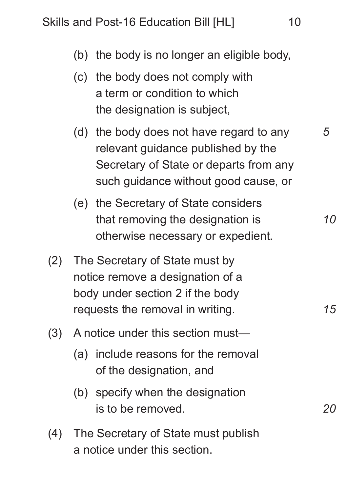|     | (c) the body does not comply with<br>a term or condition to which<br>the designation is subject,                                                                 |    |
|-----|------------------------------------------------------------------------------------------------------------------------------------------------------------------|----|
|     | (d) the body does not have regard to any<br>relevant guidance published by the<br>Secretary of State or departs from any<br>such guidance without good cause, or | 5  |
|     | (e) the Secretary of State considers<br>that removing the designation is<br>otherwise necessary or expedient.                                                    | 10 |
| (2) | The Secretary of State must by<br>notice remove a designation of a<br>body under section 2 if the body<br>requests the removal in writing.<br>15                 |    |
| (3) | A notice under this section must-                                                                                                                                |    |
|     | (a) include reasons for the removal<br>of the designation, and                                                                                                   |    |
|     | (b) specify when the designation<br>is to be removed.                                                                                                            |    |
| (4) | The Secretary of State must publish<br>a notice under this section.                                                                                              |    |

(b) the body is no longer an eligible body,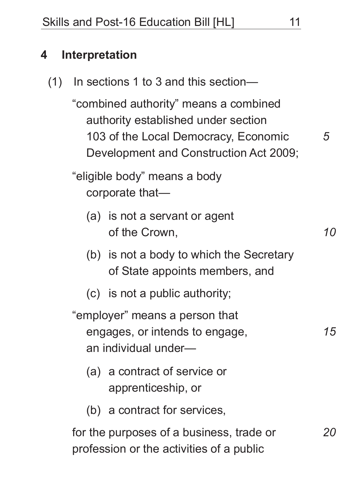#### **4 Interpretation**

(1) In sections 1 to 3 and this section—

"combined authority" means a combined authority established under section 103 of the Local Democracy, Economic Development and Construction Act 2009;

"eligible body" means a body corporate that—

- (a) is not a servant or agent of the Crown,
- (b) is not a body to which the Secretary of State appoints members, and
- (c) is not a public authority;

"employer" means a person that engages, or intends to engage, an individual under—

- (a) a contract of service or apprenticeship, or
- (b) a contract for services,

for the purposes of a business, trade or profession or the activities of a public

*5*

*15*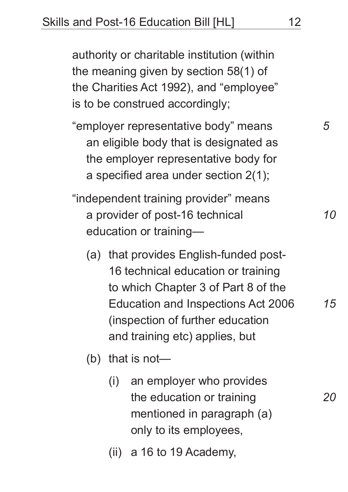authority or charitable institution (within the meaning given by section 58(1) of the Charities Act 1992), and "employee" is to be construed accordingly;

- "employer representative body" means an eligible body that is designated as the employer representative body for a specified area under section 2(1);
- "independent training provider" means a provider of post-16 technical education or training—
	- (a) that provides English-funded post-16 technical education or training to which Chapter 3 of Part 8 of the Education and Inspections Act 2006 (inspection of further education and training etc) applies, but
	- (b) that is not—
		- (i) an employer who provides the education or training mentioned in paragraph (a) only to its employees,
		- (ii) a 16 to 19 Academy,

*10*

*5*

*20*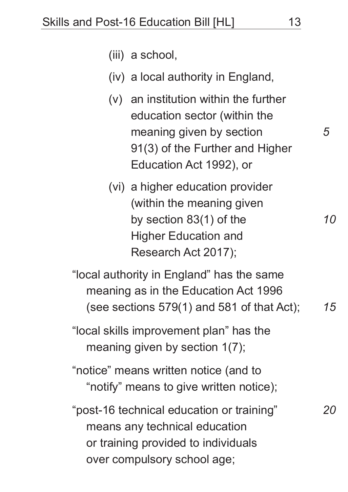*5*

*10*

*20*

- (iii) a school,
- (iv) a local authority in England,
- (v) an institution within the further education sector (within the meaning given by section 91(3) of the Further and Higher Education Act 1992), or
- (vi) a higher education provider (within the meaning given by section 83(1) of the Higher Education and Research Act 2017);

"local authority in England" has the same meaning as in the Education Act 1996 (see sections 579(1) and 581 of that Act); *15*

"local skills improvement plan" has the meaning given by section 1(7);

"notice" means written notice (and to "notify" means to give written notice);

"post-16 technical education or training" means any technical education or training provided to individuals over compulsory school age;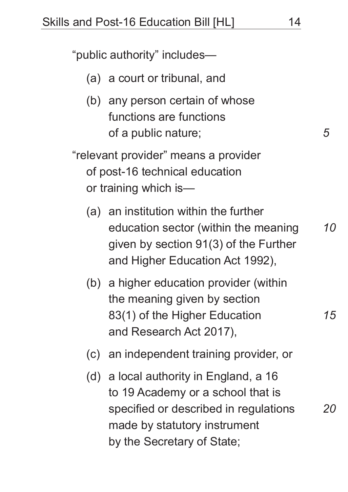"public authority" includes—

- (a) a court or tribunal, and
- (b) any person certain of whose functions are functions of a public nature;

"relevant provider" means a provider of post-16 technical education or training which is—

- (a) an institution within the further education sector (within the meaning given by section 91(3) of the Further and Higher Education Act 1992), *10*
- (b) a higher education provider (within the meaning given by section 83(1) of the Higher Education and Research Act 2017),
- (c) an independent training provider, or
- (d) a local authority in England, a 16 to 19 Academy or a school that is specified or described in regulations made by statutory instrument by the Secretary of State;

*5*

*15*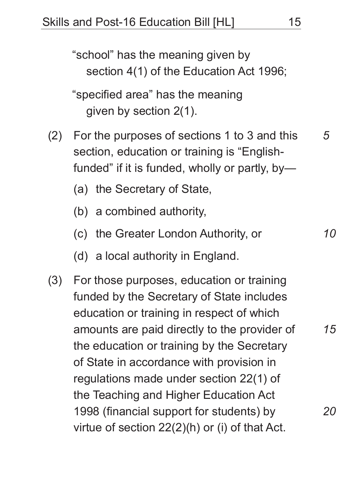"school" has the meaning given by section 4(1) of the Education Act 1996;

"specified area" has the meaning given by section 2(1).

- (2) For the purposes of sections 1 to 3 and this section, education or training is "Englishfunded" if it is funded, wholly or partly, by—
	- (a) the Secretary of State,
	- (b) a combined authority,
	- (c) the Greater London Authority, or
	- (d) a local authority in England.
- (3) For those purposes, education or training funded by the Secretary of State includes education or training in respect of which amounts are paid directly to the provider of the education or training by the Secretary of State in accordance with provision in regulations made under section 22(1) of the Teaching and Higher Education Act 1998 (financial support for students) by virtue of section 22(2)(h) or (i) of that Act. *20*

*5*

*10*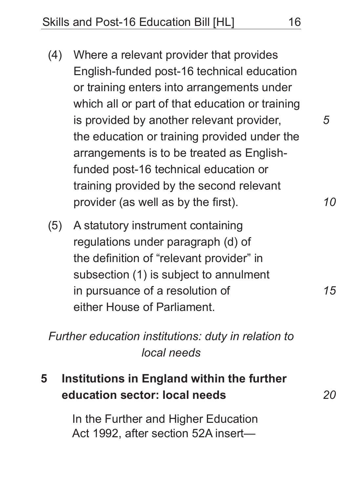- (4) Where a relevant provider that provides English-funded post-16 technical education or training enters into arrangements under which all or part of that education or training is provided by another relevant provider, the education or training provided under the arrangements is to be treated as Englishfunded post-16 technical education or training provided by the second relevant provider (as well as by the first).
- (5) A statutory instrument containing regulations under paragraph (d) of the definition of "relevant provider" in subsection (1) is subject to annulment in pursuance of a resolution of either House of Parliament.

*Further education institutions: duty in relation to local needs*

**5 Institutions in England within the further education sector: local needs** 

> In the Further and Higher Education Act 1992, after section 52A insert

*10*

*5*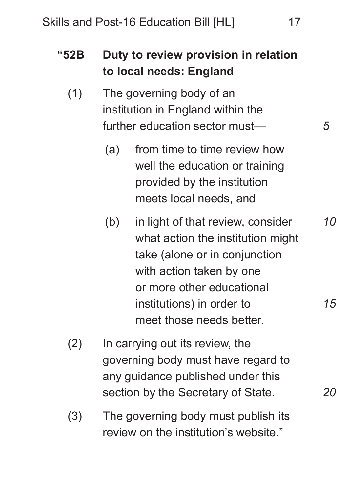| "52B |     | Duty to review provision in relation<br>to local needs: England                                                                                                                               |                 |
|------|-----|-----------------------------------------------------------------------------------------------------------------------------------------------------------------------------------------------|-----------------|
| (1)  |     | The governing body of an<br>institution in England within the<br>further education sector must-                                                                                               | 5               |
|      | (a) | from time to time review how<br>well the education or training<br>provided by the institution<br>meets local needs, and                                                                       |                 |
|      | (b) | in light of that review, consider<br>what action the institution might<br>take (alone or in conjunction<br>with action taken by one<br>or more other educational<br>institutions) in order to | <i>10</i><br>15 |
| (2)  |     | meet those needs better.<br>In carrying out its review, the<br>governing body must have regard to<br>any guidance published under this                                                        |                 |
|      |     | section by the Secretary of State.                                                                                                                                                            |                 |

(3) The governing body must publish its review on the institution's website."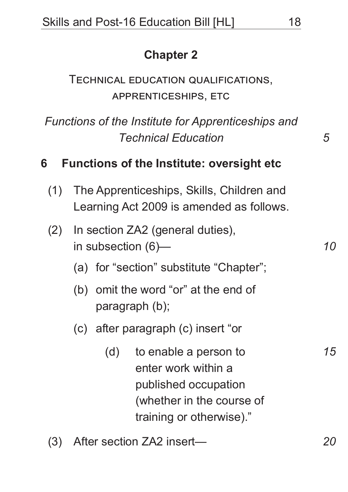### **Chapter 2**

Technical education qualifications, apprenticeships, etc

*Functions of the Institute for Apprenticeships and Technical Education*

#### **6 Functions of the Institute: oversight etc**

- (1) The Apprenticeships, Skills, Children and Learning Act 2009 is amended as follows.
- (2) In section ZA2 (general duties), in subsection (6)—
	- (a) for "section" substitute "Chapter";
	- (b) omit the word "or" at the end of paragraph (b);
	- (c) after paragraph (c) insert "or
		- (d) to enable a person to enter work within a published occupation (whether in the course of training or otherwise)."
- (3) After section ZA2 insert—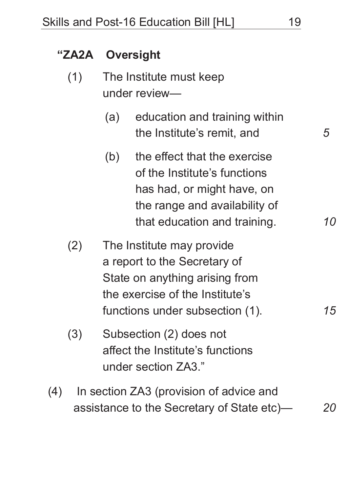#### **"ZA2A Oversight**

- (1) The Institute must keep under review—
	- (a) education and training within the Institute's remit, and
	- (b) the effect that the exercise of the Institute's functions has had, or might have, on the range and availability of that education and training.
- (2) The Institute may provide a report to the Secretary of State on anything arising from the exercise of the Institute's functions under subsection (1).
- (3) Subsection (2) does not affect the Institute's functions under section ZA3."
- (4) In section ZA3 (provision of advice and assistance to the Secretary of State etc)—

*15*

*20*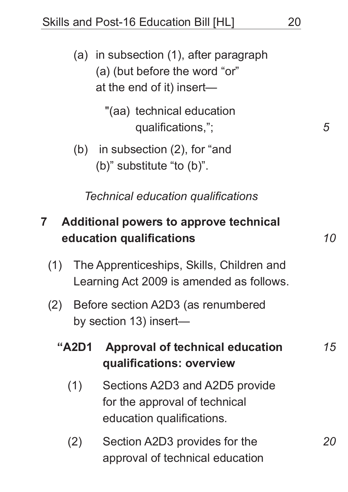(a) in subsection (1), after paragraph (a) (but before the word "or" at the end of it) insert—

> "(aa) technical education qualifications,";

(b) in subsection (2), for "and (b)" substitute "to (b)".

*Technical education qualifications*

## **7 Additional powers to approve technical education qualifications**

- (1) The Apprenticeships, Skills, Children and Learning Act 2009 is amended as follows.
- (2) Before section A2D3 (as renumbered by section 13) insert—

#### **"A2D1 Approval of technical education qualifications: overview** (1) Sections A2D3 and A2D5 provide for the approval of technical *15*

- education qualifications.
- (2) Section A2D3 provides for the approval of technical education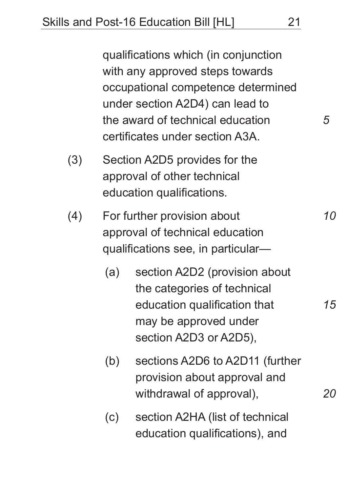qualifications which (in conjunction with any approved steps towards occupational competence determined under section A2D4) can lead to the award of technical education certificates under section A3A.

- (3) Section A2D5 provides for the approval of other technical education qualifications.
- (4) For further provision about approval of technical education qualifications see, in particular—
	- (a) section A2D2 (provision about the categories of technical education qualification that may be approved under section A2D3 or A2D5),
	- (b) sections A2D6 to A2D11 (further provision about approval and withdrawal of approval),
	- (c) section A2HA (list of technical education qualifications), and

*5*

*10*

*15*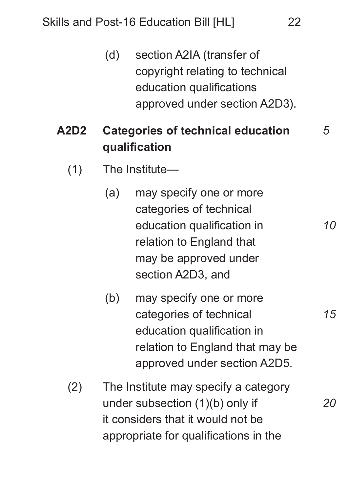(d) section A2IA (transfer of copyright relating to technical education qualifications approved under section A2D3).

# **A2D2 Categories of technical education qualification**

- (1) The Institute—
	- (a) may specify one or more categories of technical education qualification in relation to England that may be approved under section A2D3, and
	- (b) may specify one or more categories of technical education qualification in relation to England that may be approved under section A2D5.
- (2) The Institute may specify a category under subsection (1)(b) only if it considers that it would not be appropriate for qualifications in the

*15*

*20*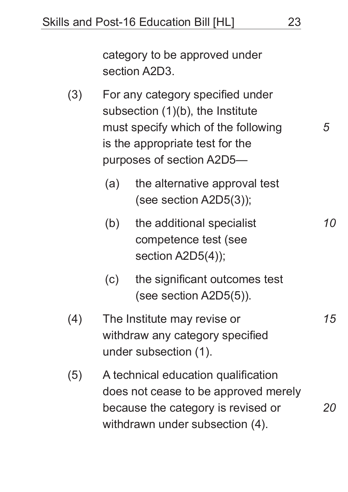category to be approved under section A2D3.

- (3) For any category specified under subsection (1)(b), the Institute must specify which of the following is the appropriate test for the purposes of section A2D5—
	- (a) the alternative approval test (see section A2D5(3));
	- (b) the additional specialist competence test (see section A2D5(4));
	- (c) the significant outcomes test (see section A2D5(5)).
- (4) The Institute may revise or withdraw any category specified under subsection (1).
- (5) A technical education qualification does not cease to be approved merely because the category is revised or withdrawn under subsection (4). *20*

*5*

*10*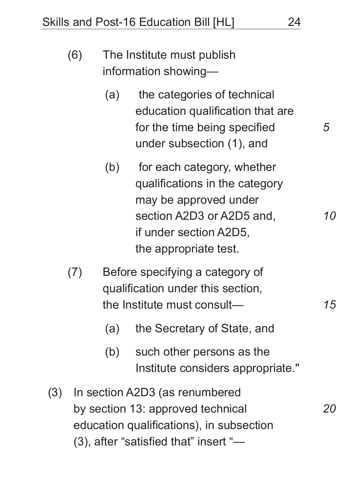| (6)             | The Institute must publish<br>information showing-                                                        |                                                                                                                                                                       |   |  |
|-----------------|-----------------------------------------------------------------------------------------------------------|-----------------------------------------------------------------------------------------------------------------------------------------------------------------------|---|--|
|                 | (a)                                                                                                       | the categories of technical<br>education qualification that are<br>for the time being specified<br>under subsection (1), and                                          | 5 |  |
|                 | (b)                                                                                                       | for each category, whether<br>qualifications in the category<br>may be approved under<br>section A2D3 or A2D5 and,<br>if under section A2D5,<br>the appropriate test. |   |  |
| $($ ( $\bigcap$ | Before specifying a category of<br>qualification under this section,<br>the Institute must consult—<br>15 |                                                                                                                                                                       |   |  |

(a) the Secretary of State, and

- (b) such other persons as the Institute considers appropriate."
- (3) In section A2D3 (as renumbered by section 13: approved technical education qualifications), in subsection (3), after "satisfied that" insert "— *20*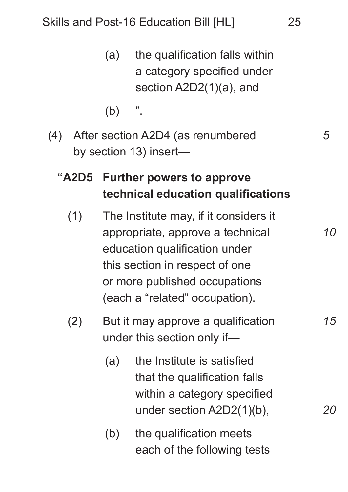| (a) | the qualification falls within |
|-----|--------------------------------|
|     | a category specified under     |
|     | section $A2D2(1)(a)$ , and     |
|     |                                |

(b) ".

(4) After section A2D4 (as renumbered by section 13) insert—

# **"A2D5 Further powers to approve technical education qualifications**

- (1) The Institute may, if it considers it appropriate, approve a technical education qualification under this section in respect of one or more published occupations (each a "related" occupation).
- (2) But it may approve a qualification under this section only if—
	- (a) the Institute is satisfied that the qualification falls within a category specified under section A2D2(1)(b),
	- (b) the qualification meets each of the following tests

*5*

*10*

*15*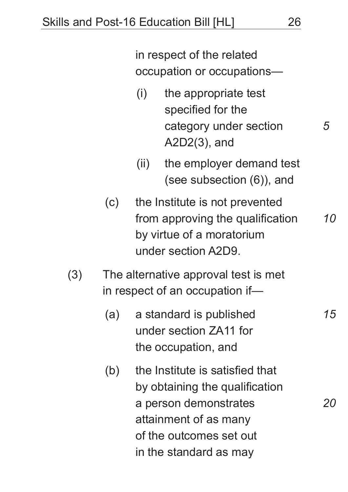in respect of the related occupation or occupations— (i) the appropriate test specified for the category under section A2D2(3), and (ii) the employer demand test (see subsection (6)), and (c) the Institute is not prevented from approving the qualification by virtue of a moratorium under section A2D9. (3) The alternative approval test is met in respect of an occupation if— (a) a standard is published under section ZA11 for the occupation, and *5 10 15*

(b) the Institute is satisfied that by obtaining the qualification a person demonstrates attainment of as many of the outcomes set out in the standard as may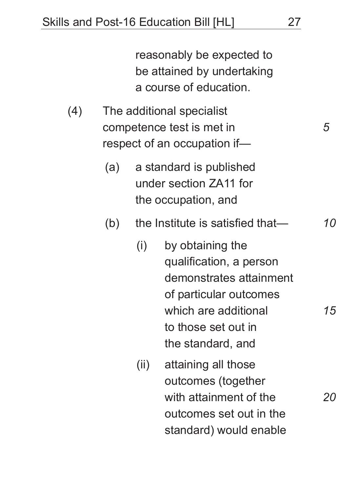reasonably be expected to be attained by undertaking a course of education.

- (4) The additional specialist competence test is met in respect of an occupation if—
	- (a) a standard is published under section ZA11 for the occupation, and
	- (b) the Institute is satisfied that— *10*
		- (i) by obtaining the qualification, a person demonstrates attainment of particular outcomes which are additional to those set out in the standard, and
		- (ii) attaining all those outcomes (together with attainment of the outcomes set out in the standard) would enable

*5*

*15*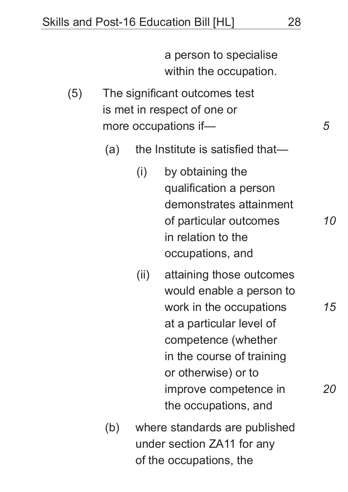a person to specialise within the occupation.

(5) The significant outcomes test is met in respect of one or more occupations if—

(a) the Institute is satisfied that—

- (i) by obtaining the qualification a person demonstrates attainment of particular outcomes in relation to the occupations, and
- (ii) attaining those outcomes would enable a person to work in the occupations at a particular level of competence (whether in the course of training or otherwise) or to improve competence in the occupations, and
- (b) where standards are published under section ZA11 for any of the occupations, the

*5*

*10*

*15*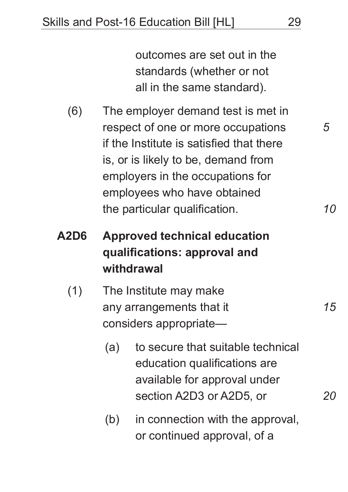outcomes are set out in the standards (whether or not all in the same standard).

- (6) The employer demand test is met in respect of one or more occupations if the Institute is satisfied that there is, or is likely to be, demand from employers in the occupations for employees who have obtained the particular qualification.
- **A2D6 Approved technical education qualifications: approval and withdrawal**
	- (1) The Institute may make any arrangements that it considers appropriate—
		- (a) to secure that suitable technical education qualifications are available for approval under section A2D3 or A2D5, or
		- (b) in connection with the approval, or continued approval, of a

*5*

*10*

*15*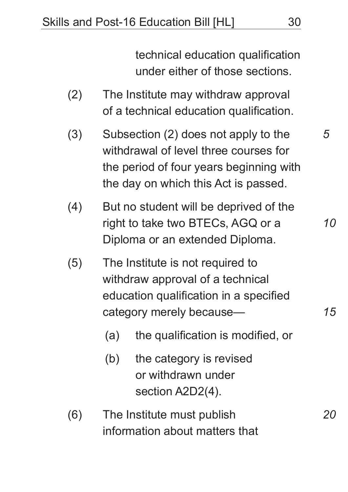technical education qualification under either of those sections.

- (2) The Institute may withdraw approval of a technical education qualification.
- (3) Subsection (2) does not apply to the withdrawal of level three courses for the period of four years beginning with the day on which this Act is passed.
- (4) But no student will be deprived of the right to take two BTECs, AGQ or a Diploma or an extended Diploma.
- (5) The Institute is not required to withdraw approval of a technical education qualification in a specified category merely because—
	- (a) the qualification is modified, or
	- (b) the category is revised or withdrawn under section A2D2(4).
- (6) The Institute must publish information about matters that

*5*

*10*

*15*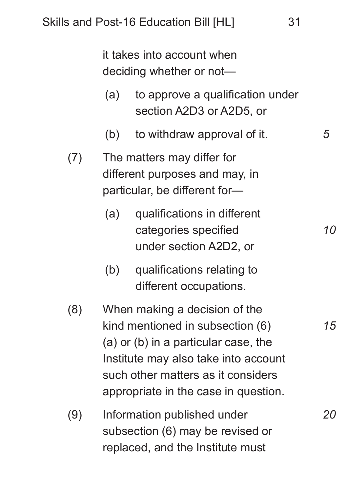it takes into account when deciding whether or not—

- (a) to approve a qualification under section A2D3 or A2D5, or
- (b) to withdraw approval of it.
- (7) The matters may differ for different purposes and may, in particular, be different for—
	- (a) qualifications in different categories specified under section A2D2, or
	- (b) qualifications relating to different occupations.
- (8) When making a decision of the kind mentioned in subsection (6) (a) or (b) in a particular case, the Institute may also take into account such other matters as it considers appropriate in the case in question.
- (9) Information published under subsection (6) may be revised or replaced, and the Institute must

*10*

*5*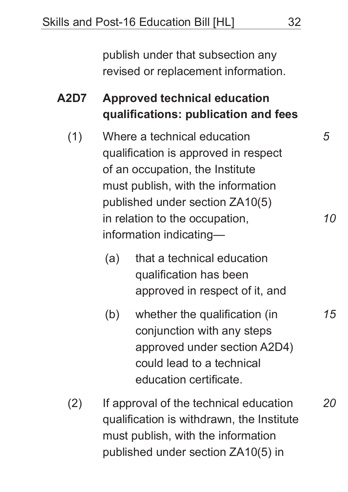publish under that subsection any revised or replacement information.

**A2D7 Approved technical education qualifications: publication and fees**

- (1) Where a technical education qualification is approved in respect of an occupation, the Institute must publish, with the information published under section ZA10(5) in relation to the occupation, information indicating—
	- (a) that a technical education qualification has been approved in respect of it, and
	- (b) whether the qualification (in conjunction with any steps approved under section A2D4) could lead to a technical education certificate.
- (2) If approval of the technical education qualification is withdrawn, the Institute must publish, with the information published under section ZA10(5) in

*5*

*10*

*15*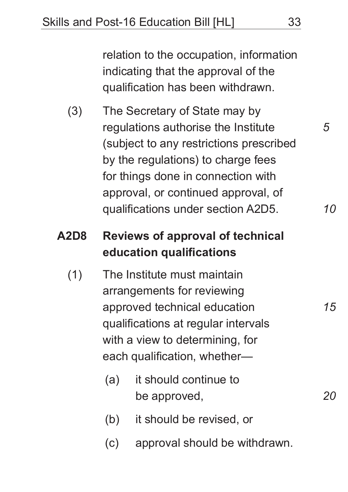relation to the occupation, information indicating that the approval of the qualification has been withdrawn.

(3) The Secretary of State may by regulations authorise the Institute (subject to any restrictions prescribed by the regulations) to charge fees for things done in connection with approval, or continued approval, of qualifications under section A2D5.

# **A2D8 Reviews of approval of technical education qualifications**

- (1) The Institute must maintain arrangements for reviewing approved technical education qualifications at regular intervals with a view to determining, for each qualification, whether—
	- (a) it should continue to be approved,
	- (b) it should be revised, or
	- (c) approval should be withdrawn.

*5*

*10*

*15*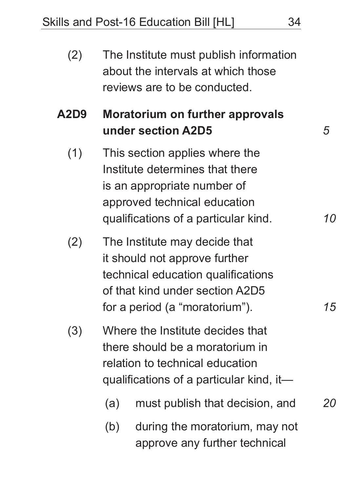| (2)  |     | The Institute must publish information<br>about the intervals at which those<br>reviews are to be conducted.                                                              |           |
|------|-----|---------------------------------------------------------------------------------------------------------------------------------------------------------------------------|-----------|
| A2D9 |     | <b>Moratorium on further approvals</b><br>under section A2D5                                                                                                              | 5         |
| (1)  |     | This section applies where the<br>Institute determines that there<br>is an appropriate number of<br>approved technical education<br>qualifications of a particular kind.  | <i>10</i> |
| (2)  |     | The Institute may decide that<br>it should not approve further<br>technical education qualifications<br>of that kind under section A2D5<br>for a period (a "moratorium"). | 15        |
| (3)  |     | Where the Institute decides that<br>there should be a moratorium in<br>relation to technical education<br>qualifications of a particular kind, it—                        |           |
|      | (a) | must publish that decision, and                                                                                                                                           | 20        |
|      | (b) | during the moratorium, may not<br>approve any further technical                                                                                                           |           |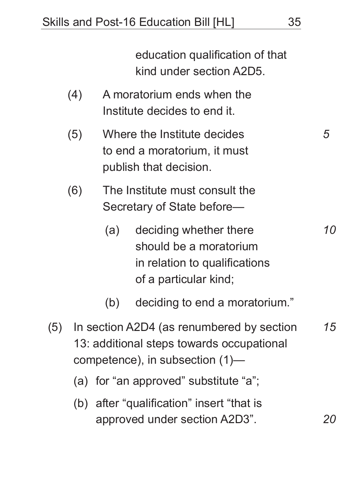education qualification of that kind under section A2D5.

- (4) A moratorium ends when the Institute decides to end it.
- (5) Where the Institute decides to end a moratorium, it must publish that decision.
- (6) The Institute must consult the Secretary of State before—
	- (a) deciding whether there should be a moratorium in relation to qualifications of a particular kind;
	- (b) deciding to end a moratorium."
- (5) In section A2D4 (as renumbered by section 13: additional steps towards occupational competence), in subsection (1)— *15*
	- (a) for "an approved" substitute "a";
	- (b) after "qualification" insert "that is approved under section A2D3".

*5*

*10*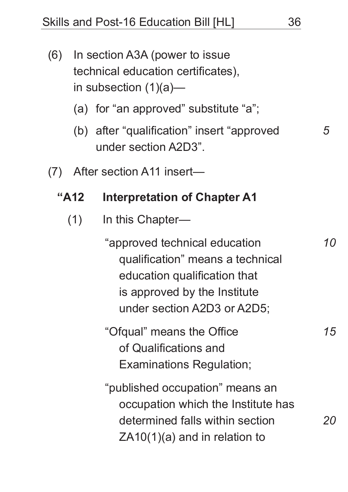- (6) In section A3A (power to issue technical education certificates), in subsection (1)(a)—
	- (a) for "an approved" substitute "a";
	- (b) after "qualification" insert "approved under section A2D3".
- (7) After section A11 insert—

### **"A12 Interpretation of Chapter A1**

(1) In this Chapter—

"approved technical education qualification" means a technical education qualification that is approved by the Institute under section A2D3 or A2D5;

"Ofqual" means the Office of Qualifications and Examinations Regulation;

"published occupation" means an occupation which the Institute has determined falls within section ZA10(1)(a) and in relation to

*5*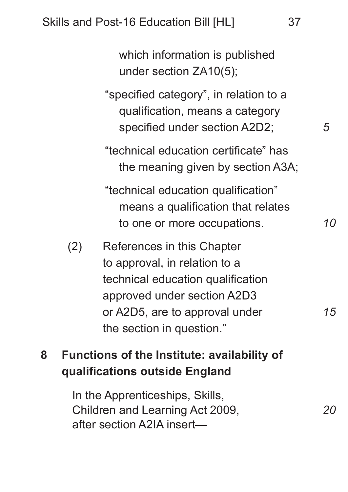which information is published under section ZA10(5); "specified category", in relation to a qualification, means a category specified under section A2D2; "technical education certificate" has the meaning given by section A3A; "technical education qualification" means a qualification that relates to one or more occupations. (2) References in this Chapter to approval, in relation to a technical education qualification approved under section A2D3 *5 10*

or A2D5, are to approval under the section in question."

# **8 Functions of the Institute: availability of qualifications outside England**

In the Apprenticeships, Skills, Children and Learning Act 2009, after section A2IA insert—

*20*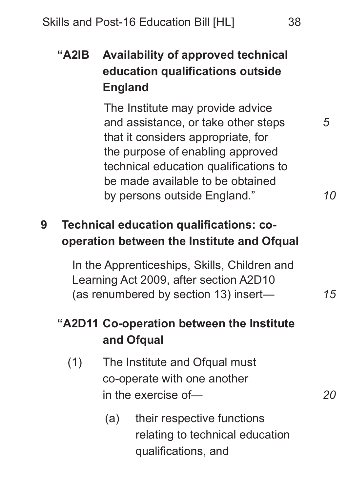# **"A2IB Availability of approved technical education qualifications outside England**

The Institute may provide advice and assistance, or take other steps that it considers appropriate, for the purpose of enabling approved technical education qualifications to be made available to be obtained by persons outside England."

## **9 Technical education qualifications: cooperation between the Institute and Ofqual**

In the Apprenticeships, Skills, Children and Learning Act 2009, after section A2D10 (as renumbered by section 13) insert—

# **"A2D11 Co-operation between the Institute and Ofqual**

- (1) The Institute and Ofqual must co-operate with one another in the exercise of—
	- (a) their respective functions relating to technical education qualifications, and

*5*

*10*

*15*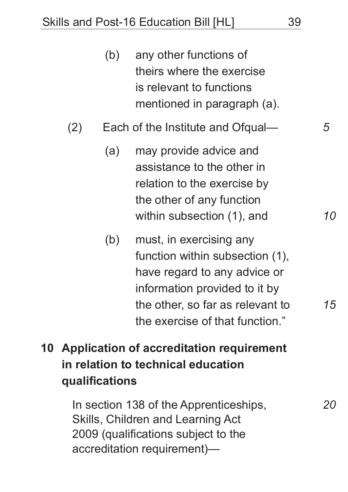| (b) | any other functions of      |
|-----|-----------------------------|
|     | theirs where the exercise   |
|     | is relevant to functions    |
|     | mentioned in paragraph (a). |

- (2) Each of the Institute and Ofqual—
	- (a) may provide advice and assistance to the other in relation to the exercise by the other of any function within subsection (1), and
	- (b) must, in exercising any function within subsection (1), have regard to any advice or information provided to it by the other, so far as relevant to the exercise of that function."
- **10 Application of accreditation requirement in relation to technical education qualifications**

In section 138 of the Apprenticeships, Skills, Children and Learning Act 2009 (qualifications subject to the accreditation requirement)—

*5*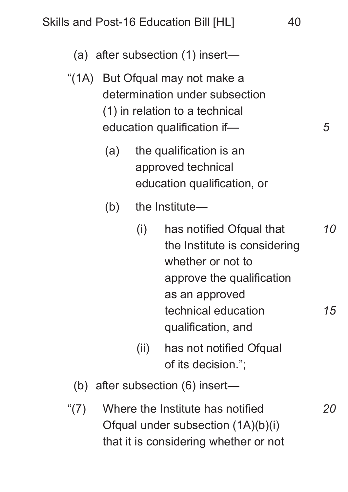(a) after subsection (1) insert— "(1A) But Ofqual may not make a determination under subsection (1) in relation to a technical education qualification if— (a) the qualification is an approved technical education qualification, or (b) the Institute— (i) has notified Ofqual that the Institute is considering whether or not to approve the qualification as an approved technical education qualification, and (ii) has not notified Ofqual of its decision."; (b) after subsection (6) insert— *5 10 15*

"(7) Where the Institute has notified Ofqual under subsection (1A)(b)(i) that it is considering whether or not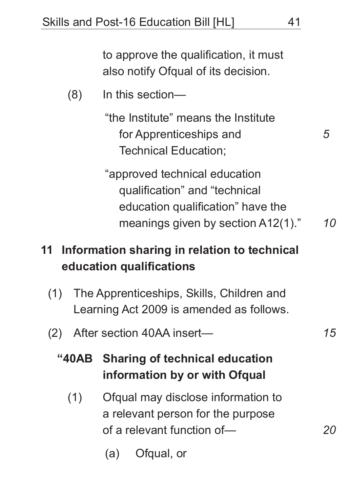to approve the qualification, it must also notify Ofqual of its decision.

(8) In this section—

"the Institute" means the Institute for Apprenticeships and Technical Education;

"approved technical education qualification" and "technical education qualification" have the meanings given by section A12(1)."

## **11 Information sharing in relation to technical education qualifications**

- (1) The Apprenticeships, Skills, Children and Learning Act 2009 is amended as follows.
- (2) After section 40AA insert—
	- **"40AB Sharing of technical education information by or with Ofqual**
		- (1) Ofqual may disclose information to a relevant person for the purpose of a relevant function of—
			- (a) Ofqual, or

*15*

*20*

*5*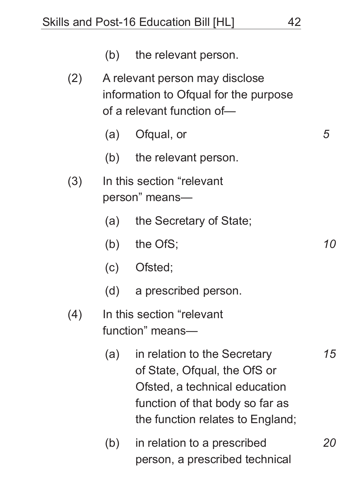|                   |     | (b) the relevant person.                                                                                                                                             |           |
|-------------------|-----|----------------------------------------------------------------------------------------------------------------------------------------------------------------------|-----------|
| (2)               |     | A relevant person may disclose<br>information to Ofqual for the purpose<br>of a relevant function of-                                                                |           |
|                   |     | (a) Ofqual, or                                                                                                                                                       | 5         |
|                   |     | (b) the relevant person.                                                                                                                                             |           |
| (3)               |     | In this section "relevant"<br>person" means—                                                                                                                         |           |
|                   | (a) | the Secretary of State;                                                                                                                                              |           |
|                   |     | (b) the OfS;                                                                                                                                                         | 10        |
|                   |     | (c) Ofsted;                                                                                                                                                          |           |
|                   |     | (d) a prescribed person.                                                                                                                                             |           |
| $\left( 4\right)$ |     | In this section "relevant<br>function" means-                                                                                                                        |           |
|                   | (a) | in relation to the Secretary<br>of State, Ofqual, the OfS or<br>Ofsted, a technical education<br>function of that body so far as<br>the function relates to England; | 15        |
|                   | (b) | in relation to a prescribed<br>person, a prescribed technical                                                                                                        | <i>20</i> |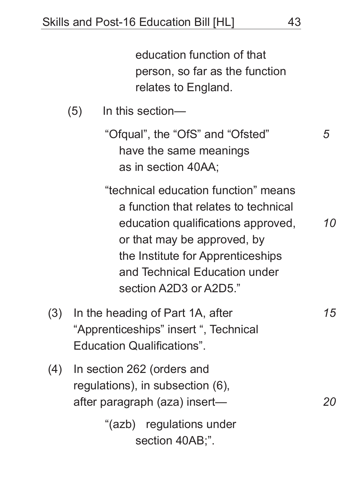education function of that person, so far as the function relates to England.

(5) In this section—

"Ofqual", the "OfS" and "Ofsted" have the same meanings as in section 40AA;

"technical education function" means a function that relates to technical education qualifications approved, or that may be approved, by the Institute for Apprenticeships and Technical Education under section A2D3 or A2D5."

- (3) In the heading of Part 1A, after "Apprenticeships" insert ", Technical Education Qualifications".
- (4) In section 262 (orders and regulations), in subsection (6), after paragraph (aza) insert—

"(azb) regulations under section 40AB;".

*20*

*10*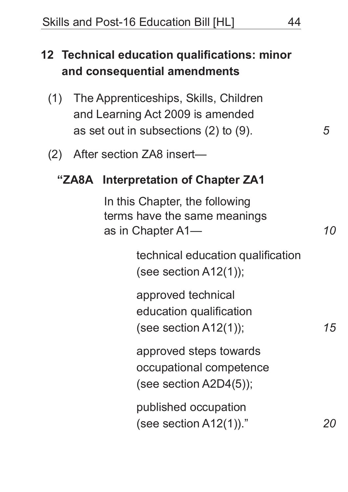# **12 Technical education qualifications: minor and consequential amendments**

- (1) The Apprenticeships, Skills, Children and Learning Act 2009 is amended as set out in subsections (2) to (9).
- (2) After section ZA8 insert—

### **"ZA8A Interpretation of Chapter ZA1**

In this Chapter, the following terms have the same meanings as in Chapter A1—

> technical education qualification (see section A12(1));

approved technical education qualification (see section A12(1));

approved steps towards occupational competence (see section A2D4(5));

published occupation (see section A12(1))." *15*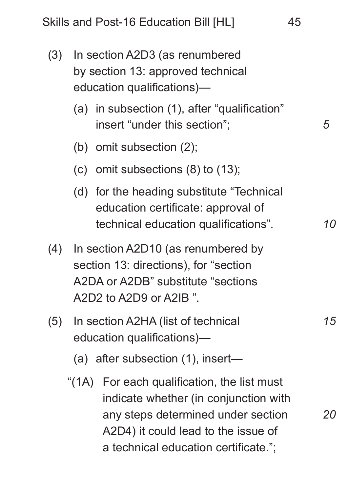| (3) | In section A2D3 (as renumbered<br>by section 13: approved technical<br>education qualifications)- |                                                                                                                                                                                                           |    |
|-----|---------------------------------------------------------------------------------------------------|-----------------------------------------------------------------------------------------------------------------------------------------------------------------------------------------------------------|----|
|     |                                                                                                   | (a) in subsection (1), after "qualification"<br>insert "under this section";                                                                                                                              | 5  |
|     |                                                                                                   | (b) omit subsection $(2)$ ;                                                                                                                                                                               |    |
|     |                                                                                                   | (c) omit subsections $(8)$ to $(13)$ ;                                                                                                                                                                    |    |
|     |                                                                                                   | (d) for the heading substitute "Technical<br>education certificate: approval of<br>technical education qualifications".                                                                                   | 10 |
| (4) |                                                                                                   | In section A2D10 (as renumbered by<br>section 13: directions), for "section<br>A2DA or A2DB" substitute "sections<br>$A2D2$ to $A2D9$ or $A2IB$ ".                                                        |    |
| (5) |                                                                                                   | In section A2HA (list of technical<br>education qualifications)-<br>(a) after subsection (1), insert-                                                                                                     | 15 |
|     |                                                                                                   | "(1A) For each qualification, the list must<br>indicate whether (in conjunction with<br>any steps determined under section<br>A2D4) it could lead to the issue of<br>a technical education certificate."; | 20 |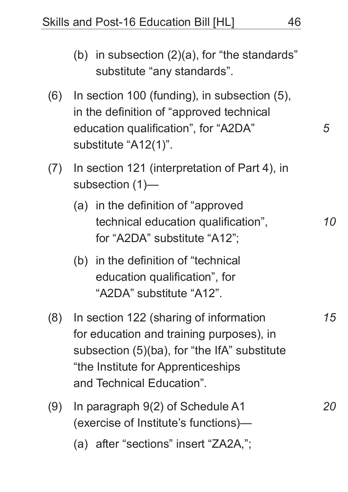Skills and Post-16 Education Bill [HL] 46

(b) in subsection (2)(a), for "the standards" substitute "any standards". (6) In section 100 (funding), in subsection (5), in the definition of "approved technical education qualification", for "A2DA" substitute "A12(1)". (7) In section 121 (interpretation of Part 4), in subsection (1)— (a) in the definition of "approved technical education qualification", for "A2DA" substitute "A12"; (b) in the definition of "technical education qualification", for "A2DA" substitute "A12". (8) In section 122 (sharing of information for education and training purposes), in subsection (5)(ba), for "the IfA" substitute "the Institute for Apprenticeships and Technical Education". (9) In paragraph 9(2) of Schedule A1 (exercise of Institute's functions)— *5 10 15 20*

(a) after "sections" insert "ZA2A,";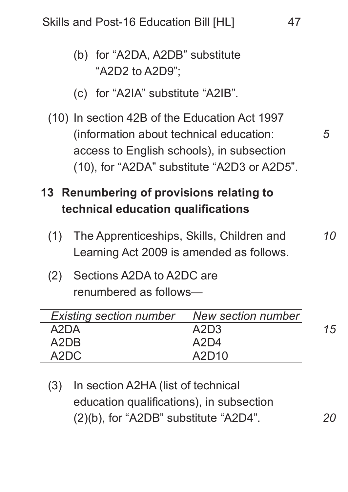Skills and Post-16 Education Bill [HL] 47

# (b) for "A2DA, A2DB" substitute "A2D2 to A2D9";

- (c) for "A2IA" substitute "A2IB".
- (10) In section 42B of the Education Act 1997 (information about technical education: access to English schools), in subsection (10), for "A2DA" substitute "A2D3 or A2D5".

# **13 Renumbering of provisions relating to technical education qualifications**

- (1) The Apprenticeships, Skills, Children and Learning Act 2009 is amended as follows.
- (2) Sections A2DA to A2DC are renumbered as follows—

| Existing section number New section number |       |    |
|--------------------------------------------|-------|----|
| A2DA                                       | A2D3  | 15 |
| A2DB                                       | A2D4  |    |
| A2DC                                       | A2D10 |    |

(3) In section A2HA (list of technical education qualifications), in subsection (2)(b), for "A2DB" substitute "A2D4".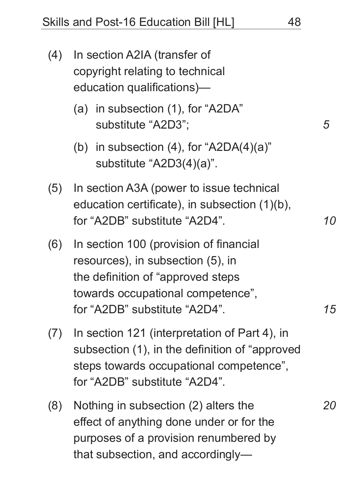| (4) | In section A2IA (transfer of<br>copyright relating to technical<br>education qualifications)-                                                                                          |           |
|-----|----------------------------------------------------------------------------------------------------------------------------------------------------------------------------------------|-----------|
|     | (a) in subsection (1), for "A2DA"<br>substitute "A2D3";                                                                                                                                | 5         |
|     | (b) in subsection $(4)$ , for "A2DA $(4)(a)$ "<br>substitute "A2D3(4)(a)".                                                                                                             |           |
| (5) | In section A3A (power to issue technical<br>education certificate), in subsection (1)(b),<br>for "A2DB" substitute "A2D4".                                                             | <i>10</i> |
| (6) | In section 100 (provision of financial<br>resources), in subsection (5), in<br>the definition of "approved steps"<br>towards occupational competence",<br>for "A2DB" substitute "A2D4" | 15        |
| (7) | In section 121 (interpretation of Part 4), in<br>subsection (1), in the definition of "approved"<br>steps towards occupational competence",<br>for "A2DB" substitute "A2D4".           |           |
| (8) | Nothing in subsection (2) alters the<br>effect of anything done under or for the<br>purposes of a provision renumbered by<br>that subsection, and accordingly-                         | 20        |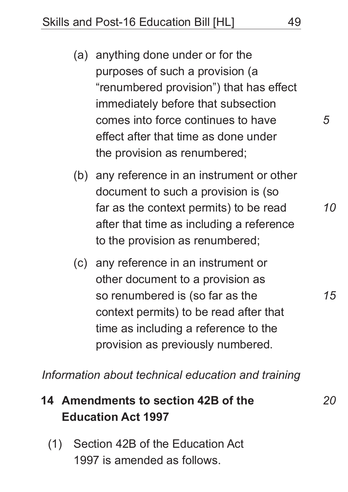- (a) anything done under or for the purposes of such a provision (a "renumbered provision") that has effect immediately before that subsection comes into force continues to have effect after that time as done under the provision as renumbered;
- (b) any reference in an instrument or other document to such a provision is (so far as the context permits) to be read after that time as including a reference to the provision as renumbered;
- (c) any reference in an instrument or other document to a provision as so renumbered is (so far as the context permits) to be read after that time as including a reference to the provision as previously numbered.

*Information about technical education and training*

#### **14 Amendments to section 42B of the Education Act 1997** *20*

(1) Section 42B of the Education Act 1997 is amended as follows.

*5*

*10*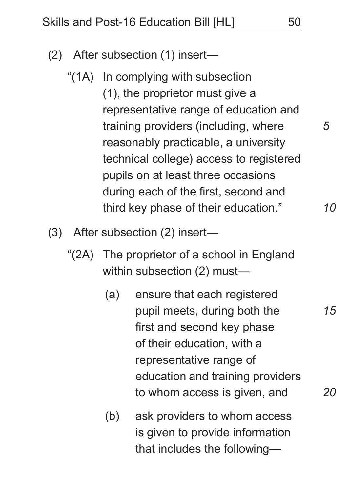- (2) After subsection (1) insert—
	- "(1A) In complying with subsection (1), the proprietor must give a representative range of education and training providers (including, where reasonably practicable, a university technical college) access to registered pupils on at least three occasions during each of the first, second and third key phase of their education."
- (3) After subsection (2) insert—
	- "(2A) The proprietor of a school in England within subsection (2) must—
		- (a) ensure that each registered pupil meets, during both the first and second key phase of their education, with a representative range of education and training providers to whom access is given, and
		- (b) ask providers to whom access is given to provide information that includes the following—

*5*

*10*

*15*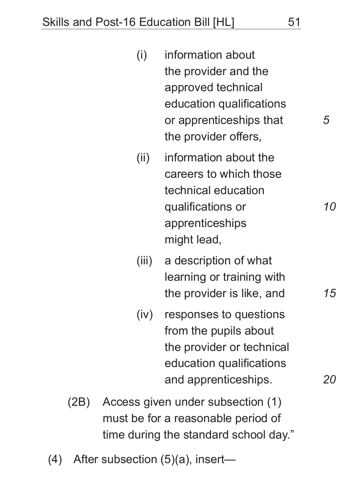| (i)  | information about        |  |
|------|--------------------------|--|
|      | the provider and the     |  |
|      | approved technical       |  |
|      | education qualifications |  |
|      | or apprenticeships that  |  |
|      | the provider offers,     |  |
| (ii) | information about the    |  |
|      | careers to which those   |  |
|      | technical education      |  |
|      | qualifications or        |  |

- qualifications or apprenticeships might lead,
- (iii) a description of what learning or training with the provider is like, and
- (iv) responses to questions from the pupils about the provider or technical education qualifications and apprenticeships.
- (2B) Access given under subsection (1) must be for a reasonable period of time during the standard school day."
- (4) After subsection (5)(a), insert—

*15*

*10*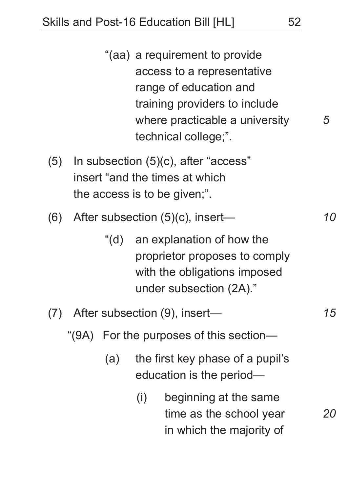|     |     | "(aa) a requirement to provide<br>access to a representative<br>range of education and<br>training providers to include<br>where practicable a university<br>technical college;". | 5  |
|-----|-----|-----------------------------------------------------------------------------------------------------------------------------------------------------------------------------------|----|
| (5) |     | In subsection (5)(c), after "access"<br>insert "and the times at which<br>the access is to be given;".                                                                            |    |
| (6) |     | After subsection $(5)(c)$ , insert—                                                                                                                                               | 10 |
|     |     | "(d) an explanation of how the<br>proprietor proposes to comply<br>with the obligations imposed<br>under subsection (2A)."                                                        |    |
| (7) |     | After subsection (9), insert-                                                                                                                                                     | 15 |
|     |     | "(9A) For the purposes of this section—                                                                                                                                           |    |
|     | (a) | the first key phase of a pupil's<br>education is the period—                                                                                                                      |    |
|     |     | beginning at the same<br>(i)<br>time as the school year<br>in which the majority of                                                                                               | 20 |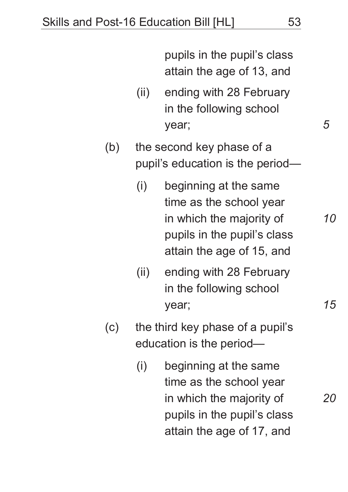pupils in the pupil's class attain the age of 13, and

- (ii) ending with 28 February in the following school year;
- (b) the second key phase of a pupil's education is the period—
	- (i) beginning at the same time as the school year in which the majority of pupils in the pupil's class attain the age of 15, and
	- (ii) ending with 28 February in the following school year;
- (c) the third key phase of a pupil's education is the period—
	- (i) beginning at the same time as the school year in which the majority of pupils in the pupil's class attain the age of 17, and

*5*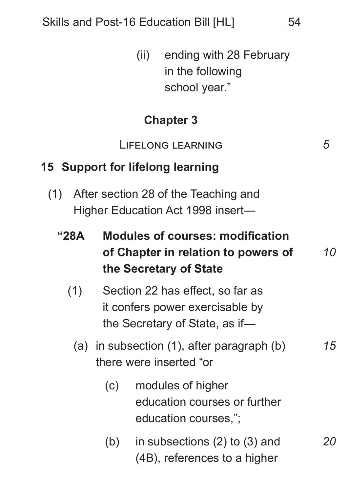| (ii) ending with 28 February |
|------------------------------|
| in the following             |
| school year."                |

## **Chapter 3**

Lifelong learning

### **15 Support for lifelong learning**

(1) After section 28 of the Teaching and Higher Education Act 1998 insert—

| "28A" | <b>Modules of courses: modification</b> |           |  |  |
|-------|-----------------------------------------|-----------|--|--|
|       | of Chapter in relation to powers of     | <i>10</i> |  |  |
|       | the Secretary of State                  |           |  |  |

- (1) Section 22 has effect, so far as it confers power exercisable by the Secretary of State, as if—
	- (a) in subsection (1), after paragraph (b) there were inserted "or

# (c) modules of higher education courses or further education courses,";

(b) in subsections (2) to (3) and (4B), references to a higher

*5*

*15*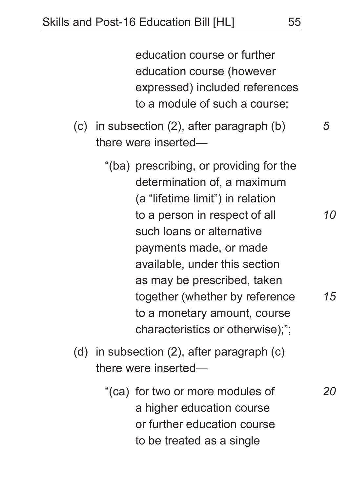education course or further education course (however expressed) included references to a module of such a course;

(c) in subsection (2), after paragraph (b) there were inserted—

- "(ba) prescribing, or providing for the determination of, a maximum (a "lifetime limit") in relation to a person in respect of all such loans or alternative payments made, or made available, under this section as may be prescribed, taken together (whether by reference to a monetary amount, course characteristics or otherwise);";
- (d) in subsection (2), after paragraph (c) there were inserted—
	- "(ca) for two or more modules of a higher education course or further education course to be treated as a single

*5*

*10*

*15*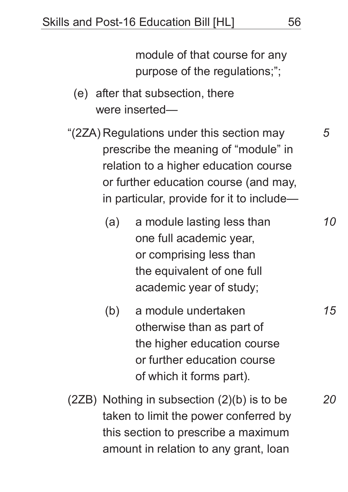module of that course for any purpose of the regulations;";

- (e) after that subsection, there were inserted—
- "(2ZA) Regulations under this section may prescribe the meaning of "module" in relation to a higher education course or further education course (and may, in particular, provide for it to include—
	- (a) a module lasting less than one full academic year, or comprising less than the equivalent of one full academic year of study;
	- (b) a module undertaken otherwise than as part of the higher education course or further education course of which it forms part).
- (2ZB) Nothing in subsection (2)(b) is to be taken to limit the power conferred by this section to prescribe a maximum amount in relation to any grant, loan

*5*

*10*

*15*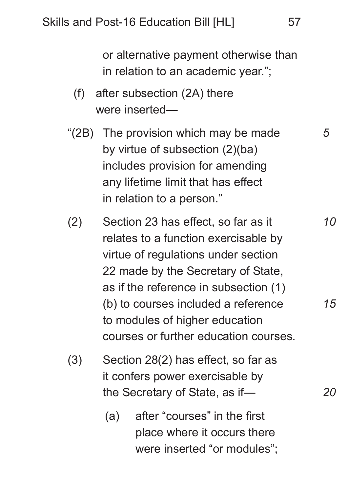- (f) after subsection (2A) there were inserted—
- "(2B) The provision which may be made by virtue of subsection (2)(ba) includes provision for amending any lifetime limit that has effect in relation to a person."
- (2) Section 23 has effect, so far as it relates to a function exercisable by virtue of regulations under section 22 made by the Secretary of State, as if the reference in subsection (1) (b) to courses included a reference to modules of higher education courses or further education courses.
- (3) Section 28(2) has effect, so far as it confers power exercisable by the Secretary of State, as if—
	- (a) after "courses" in the first place where it occurs there were inserted "or modules";

*5*

*10*

*15*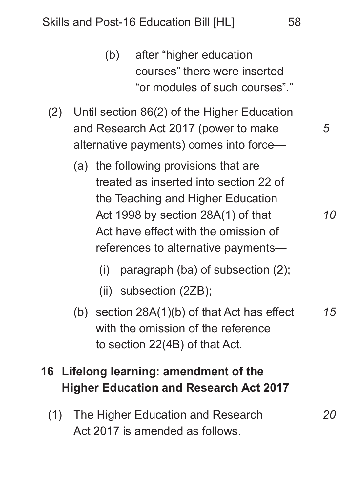- (b) after "higher education courses" there were inserted "or modules of such courses"."
- (2) Until section 86(2) of the Higher Education and Research Act 2017 (power to make alternative payments) comes into force—
	- (a) the following provisions that are treated as inserted into section 22 of the Teaching and Higher Education Act 1998 by section 28A(1) of that Act have effect with the omission of references to alternative payments—
		- (i) paragraph (ba) of subsection (2);
		- (ii) subsection (2ZB);
	- (b) section 28A(1)(b) of that Act has effect with the omission of the reference to section 22(4B) of that Act. *15*

# **16 Lifelong learning: amendment of the Higher Education and Research Act 2017**

(1) The Higher Education and Research Act 2017 is amended as follows.

*5*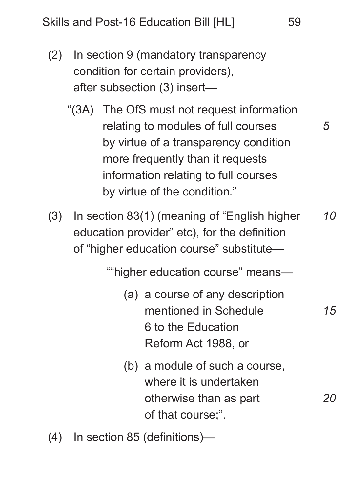- (2) In section 9 (mandatory transparency condition for certain providers), after subsection (3) insert—
	- "(3A) The OfS must not request information relating to modules of full courses by virtue of a transparency condition more frequently than it requests information relating to full courses by virtue of the condition."
- (3) In section 83(1) (meaning of "English higher education provider" etc), for the definition of "higher education course" substitute— *10*

""higher education course" means—

- (a) a course of any description mentioned in Schedule 6 to the Education Reform Act 1988, or
- (b) a module of such a course, where it is undertaken otherwise than as part of that course;".
- (4) In section 85 (definitions)—

*5*

*15*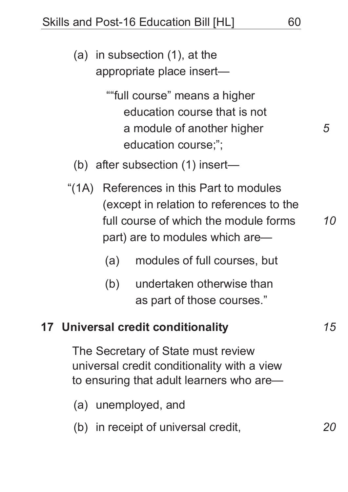- (a) in subsection (1), at the appropriate place insert— ""full course" means a higher education course that is not a module of another higher education course;"; (b) after subsection (1) insert— "(1A) References in this Part to modules (except in relation to references to the full course of which the module forms part) are to modules which are— (a) modules of full courses, but *5 10*
	- (b) undertaken otherwise than as part of those courses."

### **17 Universal credit conditionality**

The Secretary of State must review universal credit conditionality with a view to ensuring that adult learners who are—

- (a) unemployed, and
- (b) in receipt of universal credit,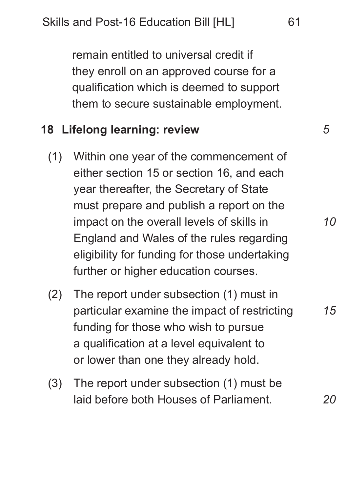remain entitled to universal credit if they enroll on an approved course for a qualification which is deemed to support them to secure sustainable employment.

### **18 Lifelong learning: review**

- (1) Within one year of the commencement of either section 15 or section 16, and each year thereafter, the Secretary of State must prepare and publish a report on the impact on the overall levels of skills in England and Wales of the rules regarding eligibility for funding for those undertaking further or higher education courses.
- (2) The report under subsection (1) must in particular examine the impact of restricting funding for those who wish to pursue a qualification at a level equivalent to or lower than one they already hold.
- (3) The report under subsection (1) must be laid before both Houses of Parliament.

*20*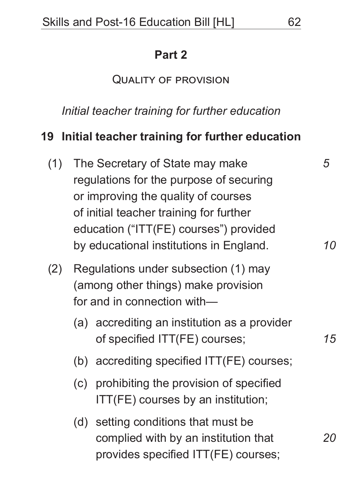### **Part 2**

### Quality of provision

*Initial teacher training for further education*

### **19 Initial teacher training for further education**

- (1) The Secretary of State may make regulations for the purpose of securing or improving the quality of courses of initial teacher training for further education ("ITT(FE) courses") provided by educational institutions in England. (2) Regulations under subsection (1) may (among other things) make provision for and in connection with— (a) accrediting an institution as a provider of specified ITT(FE) courses; (b) accrediting specified ITT(FE) courses; (c) prohibiting the provision of specified ITT(FE) courses by an institution; *5 10 15*
	- (d) setting conditions that must be complied with by an institution that provides specified ITT(FE) courses; *20*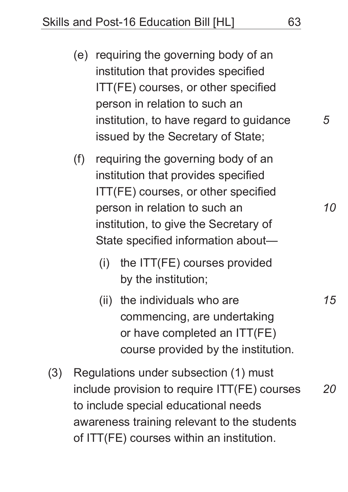Skills and Post-16 Education Bill [HL] 63

- (e) requiring the governing body of an institution that provides specified ITT(FE) courses, or other specified person in relation to such an institution, to have regard to guidance issued by the Secretary of State;
- (f) requiring the governing body of an institution that provides specified ITT(FE) courses, or other specified person in relation to such an institution, to give the Secretary of State specified information about—
	- (i) the ITT(FE) courses provided by the institution;
	- (ii) the individuals who are commencing, are undertaking or have completed an ITT(FE) course provided by the institution.
- (3) Regulations under subsection (1) must include provision to require ITT(FE) courses to include special educational needs awareness training relevant to the students of ITT(FE) courses within an institution. *20*

*5*

*10*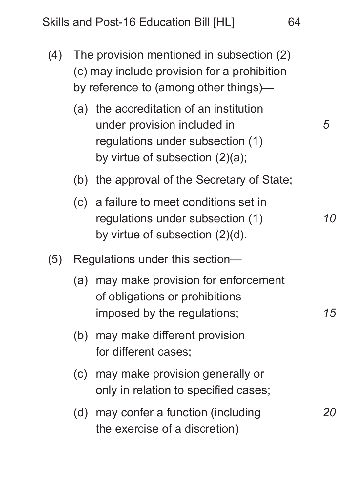- (4) The provision mentioned in subsection (2) (c) may include provision for a prohibition by reference to (among other things)—
	- (a) the accreditation of an institution under provision included in regulations under subsection (1) by virtue of subsection (2)(a);
	- (b) the approval of the Secretary of State;
	- (c) a failure to meet conditions set in regulations under subsection (1) by virtue of subsection (2)(d).
- (5) Regulations under this section—
	- (a) may make provision for enforcement of obligations or prohibitions imposed by the regulations;
	- (b) may make different provision for different cases;
	- (c) may make provision generally or only in relation to specified cases;
	- (d) may confer a function (including the exercise of a discretion)

*5*

*10*

*15*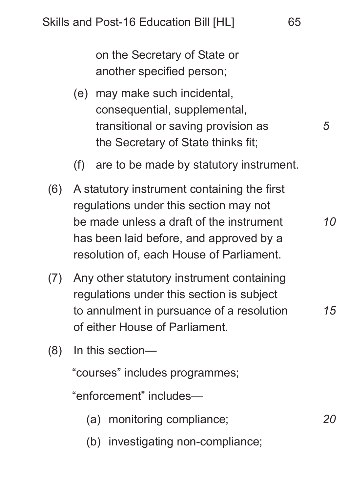on the Secretary of State or another specified person;

- (e) may make such incidental, consequential, supplemental, transitional or saving provision as the Secretary of State thinks fit;
- (f) are to be made by statutory instrument.
- (6) A statutory instrument containing the first regulations under this section may not be made unless a draft of the instrument has been laid before, and approved by a resolution of, each House of Parliament.
- (7) Any other statutory instrument containing regulations under this section is subject to annulment in pursuance of a resolution of either House of Parliament.
- (8) In this section—

"courses" includes programmes;

"enforcement" includes—

- (a) monitoring compliance;
- (b) investigating non-compliance;

*15*

*10*

*5*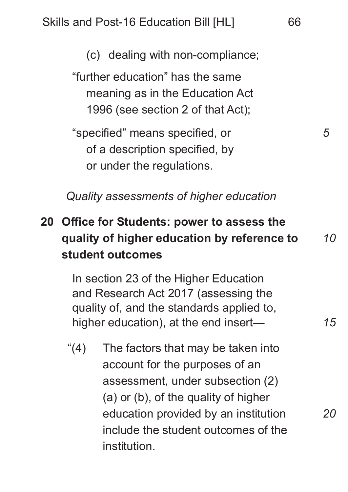(c) dealing with non-compliance;

"further education" has the same meaning as in the Education Act 1996 (see section 2 of that Act);

"specified" means specified, or of a description specified, by or under the regulations.

*Quality assessments of higher education*

#### **20 Office for Students: power to assess the quality of higher education by reference to student outcomes** *10*

In section 23 of the Higher Education and Research Act 2017 (assessing the quality of, and the standards applied to, higher education), at the end insert—

"(4) The factors that may be taken into account for the purposes of an assessment, under subsection (2) (a) or (b), of the quality of higher education provided by an institution include the student outcomes of the institution.

*5*

*15*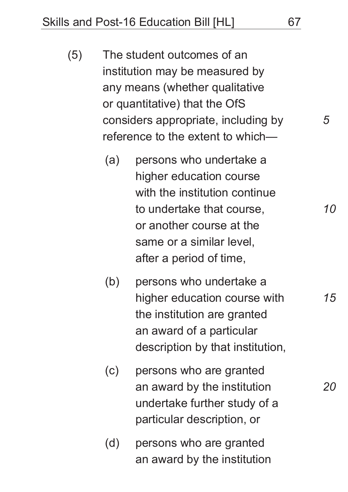Skills and Post-16 Education Bill [HL] 67

- (5) The student outcomes of an institution may be measured by any means (whether qualitative or quantitative) that the OfS considers appropriate, including by reference to the extent to which—
	- (a) persons who undertake a higher education course with the institution continue to undertake that course, or another course at the same or a similar level, after a period of time,
	- (b) persons who undertake a higher education course with the institution are granted an award of a particular description by that institution,
	- (c) persons who are granted an award by the institution undertake further study of a particular description, or
	- (d) persons who are granted an award by the institution

*10*

*5*

*15*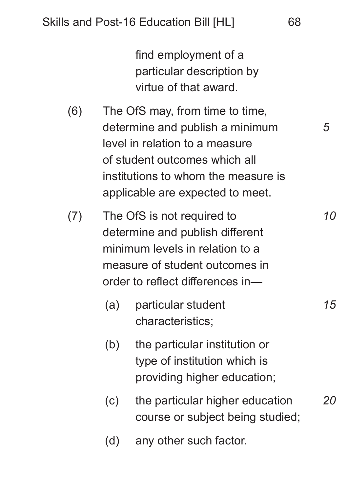find employment of a particular description by virtue of that award.

- (6) The OfS may, from time to time, determine and publish a minimum level in relation to a measure of student outcomes which all institutions to whom the measure is applicable are expected to meet.
- (7) The OfS is not required to determine and publish different minimum levels in relation to a measure of student outcomes in order to reflect differences in— *10*
	- (a) particular student characteristics; *15*
	- (b) the particular institution or type of institution which is providing higher education;
	- (c) the particular higher education course or subject being studied; *20*
	- (d) any other such factor.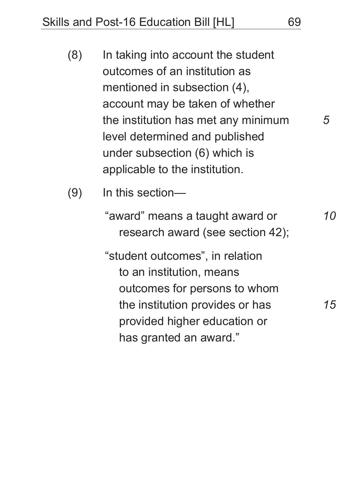| (8) | In taking into account the student  |  |
|-----|-------------------------------------|--|
|     | outcomes of an institution as       |  |
|     | mentioned in subsection (4),        |  |
|     | account may be taken of whether     |  |
|     | the institution has met any minimum |  |
|     | level determined and published      |  |
|     | under subsection (6) which is       |  |
|     | applicable to the institution.      |  |

(9) In this section—

"award" means a taught award or research award (see section 42);

"student outcomes", in relation to an institution, means outcomes for persons to whom the institution provides or has provided higher education or has granted an award."

*10*

*5*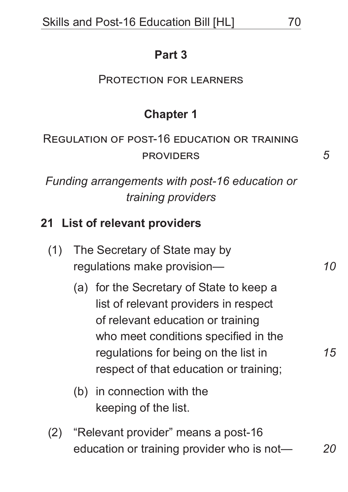### **Part 3**

#### Protection for learners

## **Chapter 1**

## Regulation of post-16 education or training **PROVIDERS**

*Funding arrangements with post-16 education or training providers*

### **21 List of relevant providers**

| (1) The Secretary of State may by |
|-----------------------------------|
| regulations make provision-       |

- (a) for the Secretary of State to keep a list of relevant providers in respect of relevant education or training who meet conditions specified in the regulations for being on the list in respect of that education or training;
- (b) in connection with the keeping of the list.
- (2) "Relevant provider" means a post-16 education or training provider who is not— *20*

*15*

*10*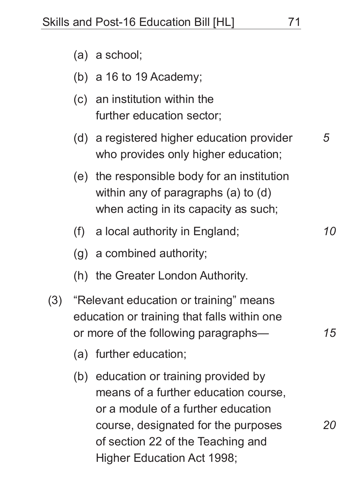- (a) a school;
- (b) a 16 to 19 Academy;
- (c) an institution within the further education sector;
- (d) a registered higher education provider who provides only higher education;
- (e) the responsible body for an institution within any of paragraphs (a) to (d) when acting in its capacity as such;
- (f) a local authority in England;
- (g) a combined authority;
- (h) the Greater London Authority.
- (3) "Relevant education or training" means education or training that falls within one or more of the following paragraphs—
	- (a) further education;
	- (b) education or training provided by means of a further education course, or a module of a further education course, designated for the purposes of section 22 of the Teaching and Higher Education Act 1998;

*10*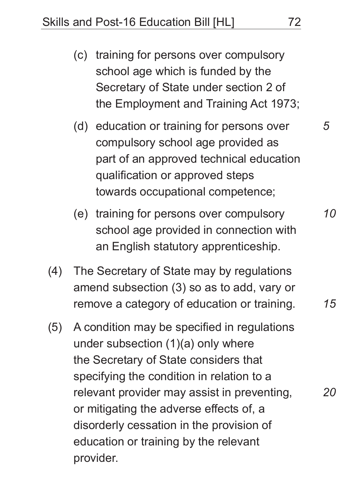Skills and Post-16 Education Bill [HL] 72

- (c) training for persons over compulsory school age which is funded by the Secretary of State under section 2 of the Employment and Training Act 1973;
- (d) education or training for persons over compulsory school age provided as part of an approved technical education qualification or approved steps towards occupational competence;
- (e) training for persons over compulsory school age provided in connection with an English statutory apprenticeship.
- (4) The Secretary of State may by regulations amend subsection (3) so as to add, vary or remove a category of education or training.
- (5) A condition may be specified in regulations under subsection (1)(a) only where the Secretary of State considers that specifying the condition in relation to a relevant provider may assist in preventing, or mitigating the adverse effects of, a disorderly cessation in the provision of education or training by the relevant provider.

*5*

*10*

*15*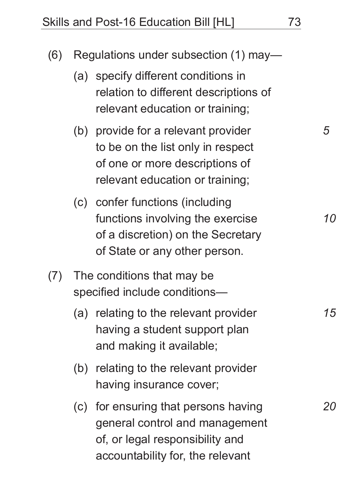Skills and Post-16 Education Bill [HL] 73

| (6) | Regulations under subsection (1) may-                       |                                                                                                                                               |           |  |  |
|-----|-------------------------------------------------------------|-----------------------------------------------------------------------------------------------------------------------------------------------|-----------|--|--|
|     |                                                             | (a) specify different conditions in<br>relation to different descriptions of<br>relevant education or training;                               |           |  |  |
|     |                                                             | (b) provide for a relevant provider<br>to be on the list only in respect<br>of one or more descriptions of<br>relevant education or training; | 5         |  |  |
|     |                                                             | (c) confer functions (including<br>functions involving the exercise<br>of a discretion) on the Secretary<br>of State or any other person.     | <i>10</i> |  |  |
| (7) | The conditions that may be<br>specified include conditions— |                                                                                                                                               |           |  |  |
|     |                                                             | (a) relating to the relevant provider<br>having a student support plan<br>and making it available;                                            | 15        |  |  |
|     |                                                             | (b) relating to the relevant provider<br>having insurance cover;                                                                              |           |  |  |
|     |                                                             | (c) for ensuring that persons having<br>general control and management<br>of, or legal responsibility and<br>accountability for, the relevant |           |  |  |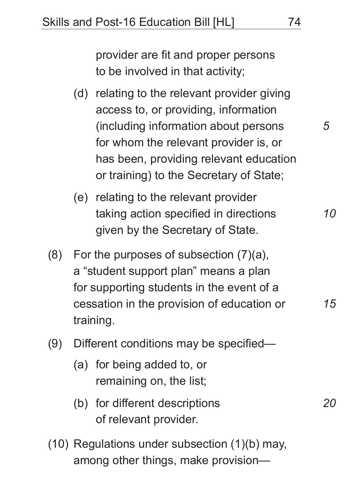provider are fit and proper persons to be involved in that activity;

- (d) relating to the relevant provider giving access to, or providing, information (including information about persons for whom the relevant provider is, or has been, providing relevant education or training) to the Secretary of State;
- (e) relating to the relevant provider taking action specified in directions given by the Secretary of State.
- (8) For the purposes of subsection  $(7)(a)$ , a "student support plan" means a plan for supporting students in the event of a cessation in the provision of education or training.
- (9) Different conditions may be specified—
	- (a) for being added to, or remaining on, the list;
	- (b) for different descriptions of relevant provider.
- (10) Regulations under subsection (1)(b) may, among other things, make provision—

*5*

*10*

*15*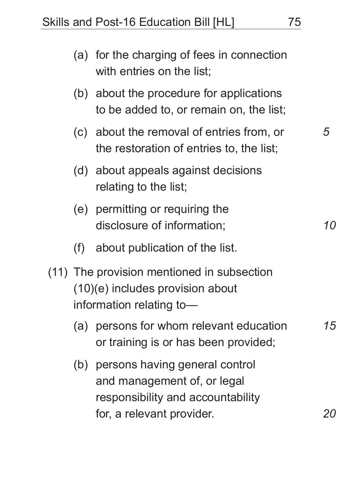|                                                                                                            | (a) for the charging of fees in connection<br>with entries on the list;                                                         |  |  |
|------------------------------------------------------------------------------------------------------------|---------------------------------------------------------------------------------------------------------------------------------|--|--|
|                                                                                                            | (b) about the procedure for applications<br>to be added to, or remain on, the list;                                             |  |  |
|                                                                                                            | (c) about the removal of entries from, or<br>the restoration of entries to, the list;                                           |  |  |
|                                                                                                            | (d) about appeals against decisions<br>relating to the list;                                                                    |  |  |
|                                                                                                            | (e) permitting or requiring the<br>disclosure of information;                                                                   |  |  |
| (f)                                                                                                        | about publication of the list.                                                                                                  |  |  |
| (11) The provision mentioned in subsection<br>(10)(e) includes provision about<br>information relating to- |                                                                                                                                 |  |  |
| (a)                                                                                                        | persons for whom relevant education<br>or training is or has been provided;                                                     |  |  |
| (b)                                                                                                        | persons having general control<br>and management of, or legal<br>responsibility and accountability<br>for, a relevant provider. |  |  |

*5*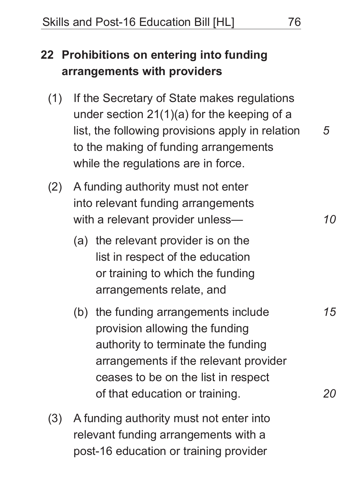# **22 Prohibitions on entering into funding arrangements with providers**

- (1) If the Secretary of State makes regulations under section 21(1)(a) for the keeping of a list, the following provisions apply in relation to the making of funding arrangements while the regulations are in force.
- (2) A funding authority must not enter into relevant funding arrangements with a relevant provider unless—
	- (a) the relevant provider is on the list in respect of the education or training to which the funding arrangements relate, and
	- (b) the funding arrangements include provision allowing the funding authority to terminate the funding arrangements if the relevant provider ceases to be on the list in respect of that education or training.
- (3) A funding authority must not enter into relevant funding arrangements with a post-16 education or training provider

*5*

*10*

*15*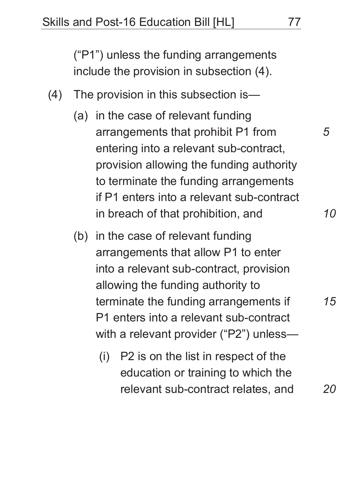("P1") unless the funding arrangements include the provision in subsection (4).

- (4) The provision in this subsection is—
	- (a) in the case of relevant funding arrangements that prohibit P1 from entering into a relevant sub-contract, provision allowing the funding authority to terminate the funding arrangements if P1 enters into a relevant sub-contract in breach of that prohibition, and
	- (b) in the case of relevant funding arrangements that allow P1 to enter into a relevant sub-contract, provision allowing the funding authority to terminate the funding arrangements if P1 enters into a relevant sub-contract with a relevant provider ("P2") unless—
		- (i) P2 is on the list in respect of the education or training to which the relevant sub-contract relates, and

*15*

*20*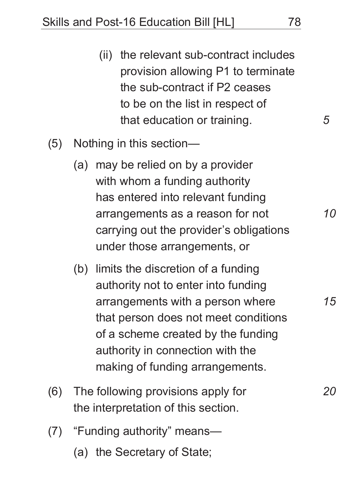- (ii) the relevant sub-contract includes provision allowing P1 to terminate the sub-contract if P2 ceases to be on the list in respect of that education or training.
- (5) Nothing in this section—
	- (a) may be relied on by a provider with whom a funding authority has entered into relevant funding arrangements as a reason for not carrying out the provider's obligations under those arrangements, or
	- (b) limits the discretion of a funding authority not to enter into funding arrangements with a person where that person does not meet conditions of a scheme created by the funding authority in connection with the making of funding arrangements.
- (6) The following provisions apply for the interpretation of this section.
- (7) "Funding authority" means— (a) the Secretary of State;

*10*

*15*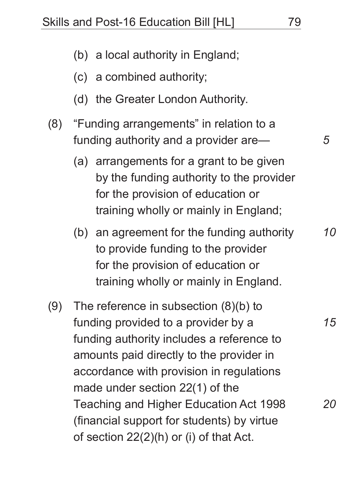- (b) a local authority in England;
- (c) a combined authority;
- (d) the Greater London Authority.
- (8) "Funding arrangements" in relation to a funding authority and a provider are—
	- (a) arrangements for a grant to be given by the funding authority to the provider for the provision of education or training wholly or mainly in England;
	- (b) an agreement for the funding authority to provide funding to the provider for the provision of education or training wholly or mainly in England.
- (9) The reference in subsection (8)(b) to funding provided to a provider by a funding authority includes a reference to amounts paid directly to the provider in accordance with provision in regulations made under section 22(1) of the Teaching and Higher Education Act 1998 (financial support for students) by virtue of section 22(2)(h) or (i) of that Act.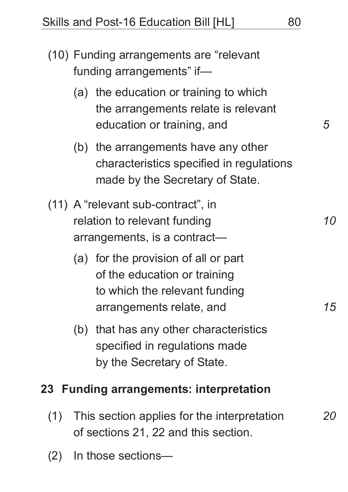| (10) Funding arrangements are "relevant<br>funding arrangements" if- |                                                                                                    |                                                                                                                                   |    |  |
|----------------------------------------------------------------------|----------------------------------------------------------------------------------------------------|-----------------------------------------------------------------------------------------------------------------------------------|----|--|
|                                                                      |                                                                                                    | (a) the education or training to which<br>the arrangements relate is relevant<br>education or training, and                       | 5  |  |
|                                                                      |                                                                                                    | (b) the arrangements have any other<br>characteristics specified in regulations<br>made by the Secretary of State.                |    |  |
|                                                                      | (11) A "relevant sub-contract", in<br>relation to relevant funding<br>arrangements, is a contract- |                                                                                                                                   |    |  |
|                                                                      |                                                                                                    | (a) for the provision of all or part<br>of the education or training<br>to which the relevant funding<br>arrangements relate, and | 15 |  |
|                                                                      |                                                                                                    | (b) that has any other characteristics<br>specified in regulations made<br>by the Secretary of State.                             |    |  |
| 23                                                                   |                                                                                                    | <b>Funding arrangements: interpretation</b>                                                                                       |    |  |

- (1) This section applies for the interpretation of sections 21, 22 and this section.
- (2) In those sections—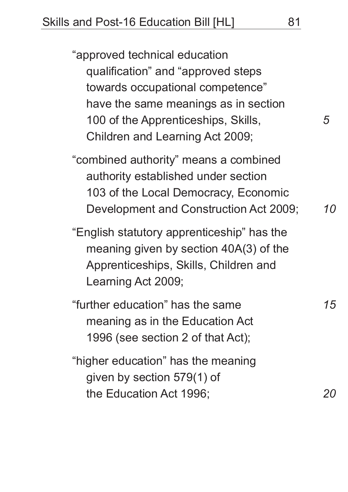"approved technical education qualification" and "approved steps towards occupational competence" have the same meanings as in section 100 of the Apprenticeships, Skills, Children and Learning Act 2009;

"combined authority" means a combined authority established under section 103 of the Local Democracy, Economic Development and Construction Act 2009; *10*

"English statutory apprenticeship" has the meaning given by section 40A(3) of the Apprenticeships, Skills, Children and Learning Act 2009;

"further education" has the same meaning as in the Education Act 1996 (see section 2 of that Act);

"higher education" has the meaning given by section 579(1) of the Education Act 1996;

*5*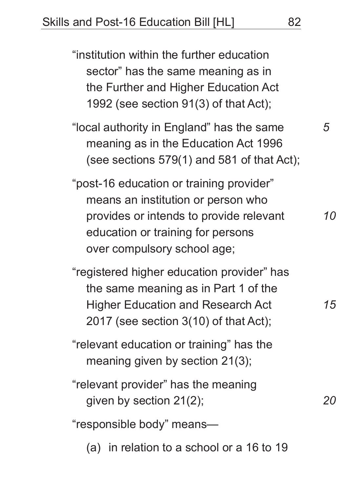"institution within the further education sector" has the same meaning as in the Further and Higher Education Act 1992 (see section 91(3) of that Act); "local authority in England" has the same meaning as in the Education Act 1996 (see sections 579(1) and 581 of that Act); "post-16 education or training provider" means an institution or person who provides or intends to provide relevant education or training for persons over compulsory school age; "registered higher education provider" has the same meaning as in Part 1 of the Higher Education and Research Act 2017 (see section 3(10) of that Act); "relevant education or training" has the meaning given by section 21(3); "relevant provider" has the meaning given by section 21(2); "responsible body" means— *5 10 15 20*

(a) in relation to a school or a 16 to 19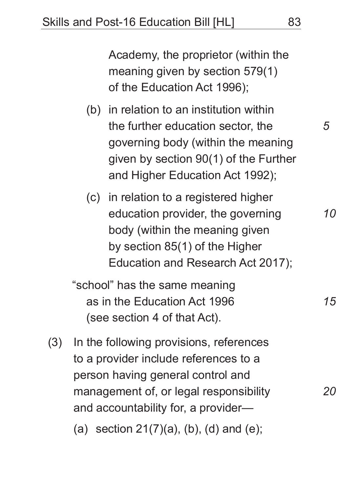Academy, the proprietor (within the meaning given by section 579(1) of the Education Act 1996);

- (b) in relation to an institution within the further education sector, the governing body (within the meaning given by section 90(1) of the Further and Higher Education Act 1992);
- (c) in relation to a registered higher education provider, the governing body (within the meaning given by section 85(1) of the Higher Education and Research Act 2017);

"school" has the same meaning as in the Education Act 1996 (see section 4 of that Act).

(3) In the following provisions, references to a provider include references to a person having general control and management of, or legal responsibility and accountability for, a provider— (a) section  $21(7)(a)$ , (b), (d) and (e);

*5*

*20*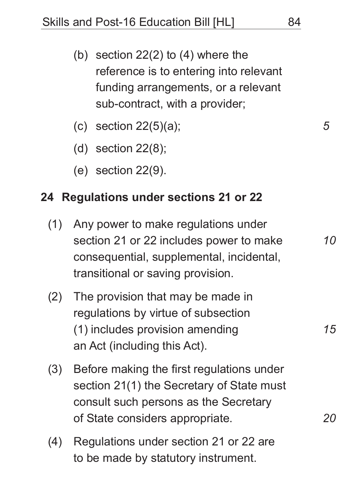- (b) section 22(2) to (4) where the reference is to entering into relevant funding arrangements, or a relevant sub-contract, with a provider;
- (c) section  $22(5)(a)$ ;
- (d) section 22(8);
- (e) section 22(9).

#### **24 Regulations under sections 21 or 22**

- (1) Any power to make regulations under section 21 or 22 includes power to make consequential, supplemental, incidental, transitional or saving provision.
- (2) The provision that may be made in regulations by virtue of subsection (1) includes provision amending an Act (including this Act).
- (3) Before making the first regulations under section 21(1) the Secretary of State must consult such persons as the Secretary of State considers appropriate.
- (4) Regulations under section 21 or 22 are to be made by statutory instrument.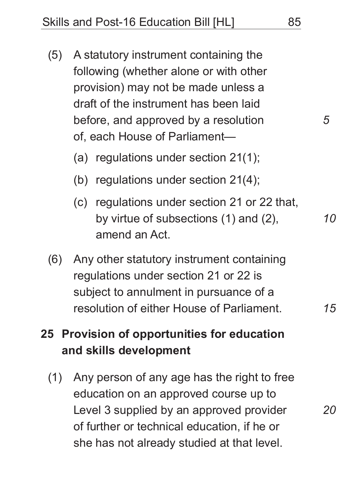- (5) A statutory instrument containing the following (whether alone or with other provision) may not be made unless a draft of the instrument has been laid before, and approved by a resolution of, each House of Parliament—
	- (a) regulations under section 21(1);
	- (b) regulations under section 21(4);
	- (c) regulations under section 21 or 22 that, by virtue of subsections (1) and (2), amend an Act.
- (6) Any other statutory instrument containing regulations under section 21 or 22 is subject to annulment in pursuance of a resolution of either House of Parliament.

## **25 Provision of opportunities for education and skills development**

(1) Any person of any age has the right to free education on an approved course up to Level 3 supplied by an approved provider of further or technical education, if he or she has not already studied at that level.

*5*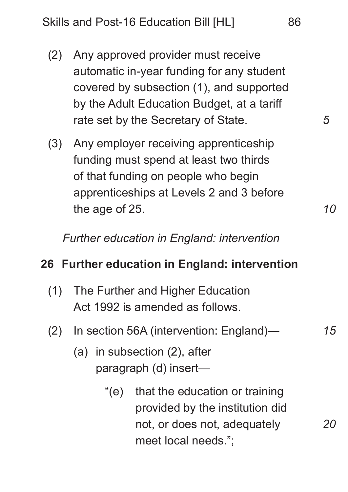- (2) Any approved provider must receive automatic in-year funding for any student covered by subsection (1), and supported by the Adult Education Budget, at a tariff rate set by the Secretary of State.
- (3) Any employer receiving apprenticeship funding must spend at least two thirds of that funding on people who begin apprenticeships at Levels 2 and 3 before the age of 25.

*Further education in England: intervention*

### **26 Further education in England: intervention**

- (1) The Further and Higher Education Act 1992 is amended as follows.
- (2) In section 56A (intervention: England)—
	- (a) in subsection (2), after paragraph (d) insert—
		- "(e) that the education or training provided by the institution did not, or does not, adequately meet local needs.";

*5*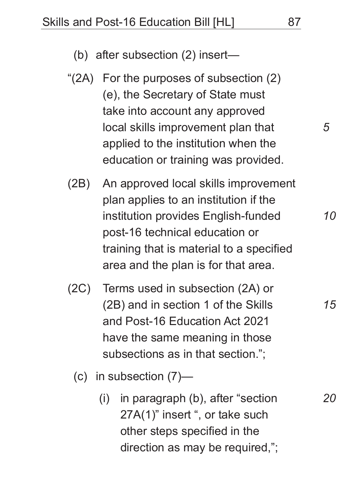- "(2A) For the purposes of subsection (2) (e), the Secretary of State must take into account any approved local skills improvement plan that applied to the institution when the education or training was provided.
- (2B) An approved local skills improvement plan applies to an institution if the institution provides English-funded post-16 technical education or training that is material to a specified area and the plan is for that area.
- (2C) Terms used in subsection (2A) or (2B) and in section 1 of the Skills and Post-16 Education Act 2021 have the same meaning in those subsections as in that section.";
	- (c) in subsection (7)—
		- (i) in paragraph (b), after "section 27A(1)" insert ", or take such other steps specified in the direction as may be required,";

*10*

*15*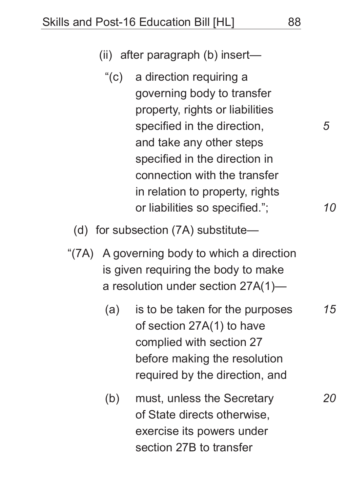- (ii) after paragraph (b) insert—
	- "(c) a direction requiring a governing body to transfer property, rights or liabilities specified in the direction, and take any other steps specified in the direction in connection with the transfer in relation to property, rights or liabilities so specified.";
- (d) for subsection (7A) substitute—
- "(7A) A governing body to which a direction is given requiring the body to make a resolution under section 27A(1)—
	- (a) is to be taken for the purposes of section 27A(1) to have complied with section 27 before making the resolution required by the direction, and
	- (b) must, unless the Secretary of State directs otherwise, exercise its powers under section 27B to transfer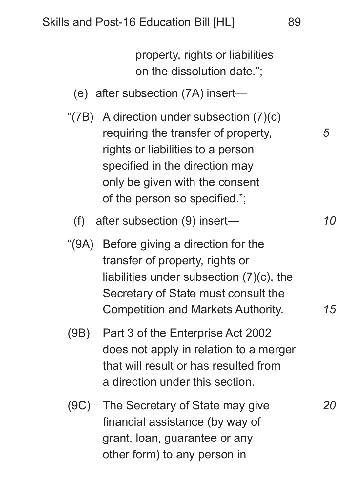property, rights or liabilities on the dissolution date.";

- (e) after subsection (7A) insert—
- "(7B) A direction under subsection (7)(c) requiring the transfer of property, rights or liabilities to a person specified in the direction may only be given with the consent of the person so specified.";
	- (f) after subsection (9) insert—
- "(9A) Before giving a direction for the transfer of property, rights or liabilities under subsection (7)(c), the Secretary of State must consult the Competition and Markets Authority.
- (9B) Part 3 of the Enterprise Act 2002 does not apply in relation to a merger that will result or has resulted from a direction under this section.
- (9C) The Secretary of State may give financial assistance (by way of grant, loan, guarantee or any other form) to any person in

*5*

*10*

*15*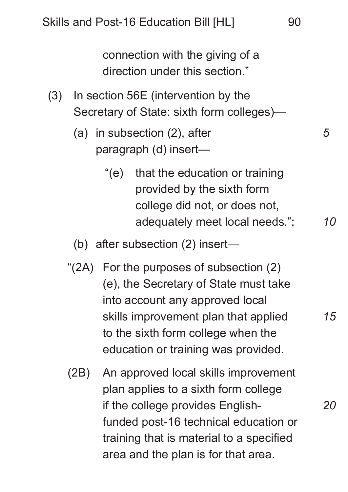connection with the giving of a direction under this section."

- (3) In section 56E (intervention by the Secretary of State: sixth form colleges)—
	- (a) in subsection (2), after paragraph (d) insert—
		- "(e) that the education or training provided by the sixth form college did not, or does not, adequately meet local needs.";
	- (b) after subsection (2) insert—
	- "(2A) For the purposes of subsection (2) (e), the Secretary of State must take into account any approved local skills improvement plan that applied to the sixth form college when the education or training was provided.
	- (2B) An approved local skills improvement plan applies to a sixth form college if the college provides Englishfunded post-16 technical education or training that is material to a specified area and the plan is for that area.

*5*

*10*

*15*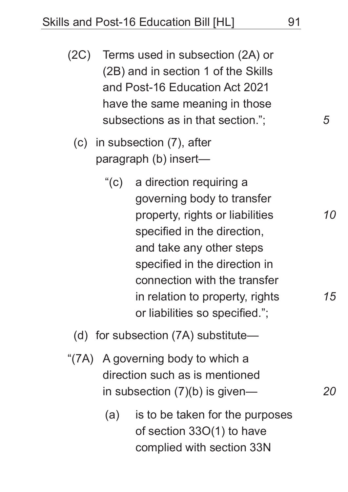- (2C) Terms used in subsection (2A) or (2B) and in section 1 of the Skills and Post-16 Education Act 2021 have the same meaning in those subsections as in that section.";
	- (c) in subsection (7), after paragraph (b) insert—
		- "(c) a direction requiring a governing body to transfer property, rights or liabilities specified in the direction, and take any other steps specified in the direction in connection with the transfer in relation to property, rights or liabilities so specified.";
	- (d) for subsection (7A) substitute—
- "(7A) A governing body to which a direction such as is mentioned in subsection (7)(b) is given—
	- (a) is to be taken for the purposes of section 33O(1) to have complied with section 33N

*10*

*15*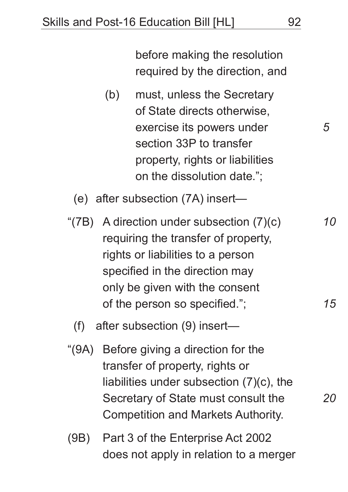before making the resolution required by the direction, and

(b) must, unless the Secretary of State directs otherwise, exercise its powers under section 33P to transfer property, rights or liabilities on the dissolution date.";

(e) after subsection (7A) insert—

"(7B) A direction under subsection (7)(c) requiring the transfer of property, rights or liabilities to a person specified in the direction may only be given with the consent of the person so specified.";

(f) after subsection (9) insert—

- "(9A) Before giving a direction for the transfer of property, rights or liabilities under subsection (7)(c), the Secretary of State must consult the Competition and Markets Authority.
- (9B) Part 3 of the Enterprise Act 2002 does not apply in relation to a merger

*5*

*15*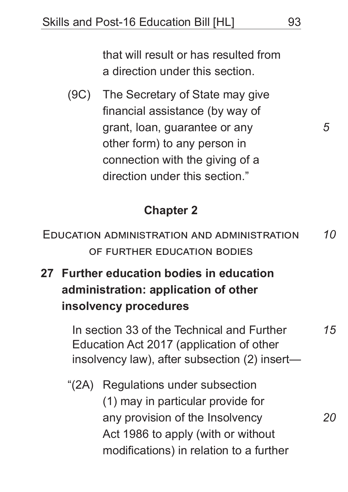that will result or has resulted from a direction under this section.

(9C) The Secretary of State may give financial assistance (by way of grant, loan, guarantee or any other form) to any person in connection with the giving of a direction under this section."

### **Chapter 2**

| EDUCATION ADMINISTRATION AND ADMINISTRATION | <i>10</i> |
|---------------------------------------------|-----------|
| OF FURTHER EDUCATION BODIES                 |           |

**27 Further education bodies in education administration: application of other insolvency procedures**

> In section 33 of the Technical and Further Education Act 2017 (application of other insolvency law), after subsection (2) insert—

"(2A) Regulations under subsection (1) may in particular provide for any provision of the Insolvency Act 1986 to apply (with or without modifications) in relation to a further

*5*

*15*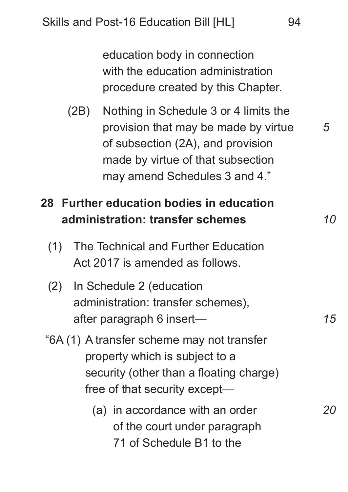education body in connection with the education administration procedure created by this Chapter.

(2B) Nothing in Schedule 3 or 4 limits the provision that may be made by virtue of subsection (2A), and provision made by virtue of that subsection may amend Schedules 3 and 4."

## **28 Further education bodies in education administration: transfer schemes**

- (1) The Technical and Further Education Act 2017 is amended as follows.
- (2) In Schedule 2 (education administration: transfer schemes), after paragraph 6 insert—
- "6A (1) A transfer scheme may not transfer property which is subject to a security (other than a floating charge) free of that security except—
	- (a) in accordance with an order of the court under paragraph 71 of Schedule B1 to the

*5*

*10*

*15*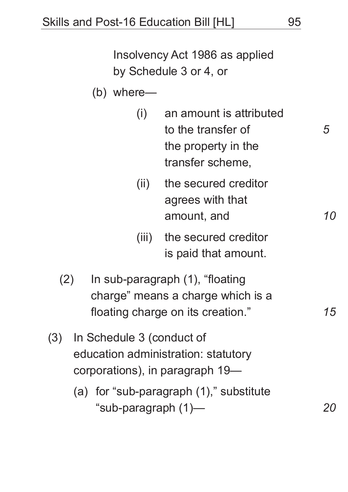Insolvency Act 1986 as applied by Schedule 3 or 4, or

- (b) where—
	- (i) an amount is attributed to the transfer of the property in the transfer scheme,
	- (ii) the secured creditor agrees with that amount, and
	- (iii) the secured creditor is paid that amount.
- (2) In sub-paragraph (1), "floating charge" means a charge which is a floating charge on its creation."
- (3) In Schedule 3 (conduct of education administration: statutory corporations), in paragraph 19—
	- (a) for "sub-paragraph (1)," substitute "sub-paragraph (1)—

*15*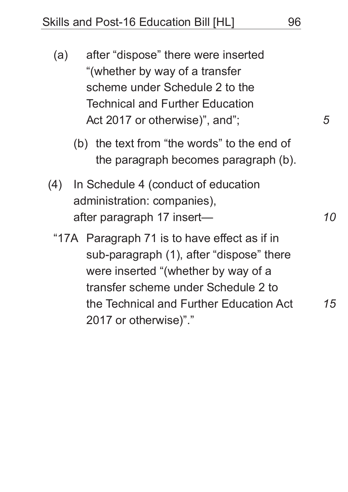- (a) after "dispose" there were inserted "(whether by way of a transfer scheme under Schedule 2 to the Technical and Further Education Act 2017 or otherwise)", and";
	- (b) the text from "the words" to the end of the paragraph becomes paragraph (b).
- (4) In Schedule 4 (conduct of education administration: companies), after paragraph 17 insert—
	- "17A Paragraph 71 is to have effect as if in sub-paragraph (1), after "dispose" there were inserted "(whether by way of a transfer scheme under Schedule 2 to the Technical and Further Education Act 2017 or otherwise)"." *15*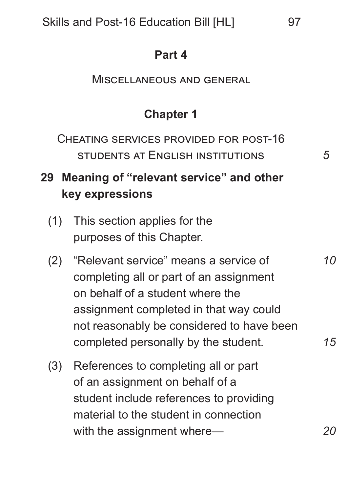#### **Part 4**

#### Miscellaneous and general

## **Chapter 1**

Cheating services provided for post-16 students at English institutions

# **29 Meaning of "relevant service" and other key expressions**

- (1) This section applies for the purposes of this Chapter.
- (2) "Relevant service" means a service of completing all or part of an assignment on behalf of a student where the assignment completed in that way could not reasonably be considered to have been completed personally by the student.
- (3) References to completing all or part of an assignment on behalf of a student include references to providing material to the student in connection with the assignment where-

*15*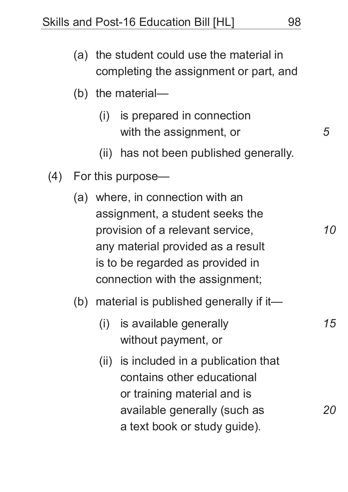Skills and Post-16 Education Bill [HL] 98

|     |                   |      | (a) the student could use the material in<br>completing the assignment or part, and                                                                                                                                 |    |  |
|-----|-------------------|------|---------------------------------------------------------------------------------------------------------------------------------------------------------------------------------------------------------------------|----|--|
|     |                   |      | (b) the material-                                                                                                                                                                                                   |    |  |
|     |                   | (i)  | is prepared in connection<br>with the assignment, or                                                                                                                                                                | 5  |  |
|     |                   |      | (ii) has not been published generally.                                                                                                                                                                              |    |  |
| (4) | For this purpose— |      |                                                                                                                                                                                                                     |    |  |
|     |                   |      | (a) where, in connection with an<br>assignment, a student seeks the<br>provision of a relevant service,<br>any material provided as a result<br>is to be regarded as provided in<br>connection with the assignment; | 10 |  |
|     | (b)               | (i)  | material is published generally if it-<br>is available generally<br>without payment, or                                                                                                                             | 15 |  |
|     |                   | (ii) | is included in a publication that<br>contains other educational<br>or training material and is<br>available generally (such as<br>a text book or study guide).                                                      |    |  |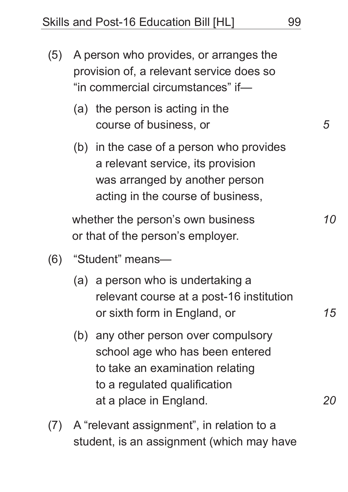- (5) A person who provides, or arranges the provision of, a relevant service does so "in commercial circumstances" if—
	- (a) the person is acting in the course of business, or
	- (b) in the case of a person who provides a relevant service, its provision was arranged by another person acting in the course of business,

whether the person's own business or that of the person's employer.

- (6) "Student" means—
	- (a) a person who is undertaking a relevant course at a post-16 institution or sixth form in England, or
	- (b) any other person over compulsory school age who has been entered to take an examination relating to a regulated qualification at a place in England.
- (7) A "relevant assignment", in relation to a student, is an assignment (which may have

*5*

*10*

*15*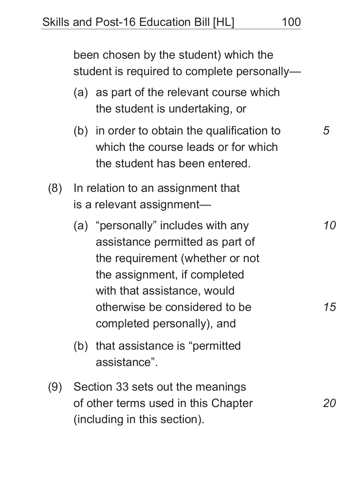|     |                                      | been chosen by the student) which the<br>student is required to complete personally-                                                                                                                     |                               |  |  |  |
|-----|--------------------------------------|----------------------------------------------------------------------------------------------------------------------------------------------------------------------------------------------------------|-------------------------------|--|--|--|
|     |                                      | (a) as part of the relevant course which<br>the student is undertaking, or                                                                                                                               |                               |  |  |  |
|     |                                      | (b) in order to obtain the qualification to<br>which the course leads or for which<br>the student has been entered.                                                                                      | 5                             |  |  |  |
| (8) |                                      | In relation to an assignment that<br>is a relevant assignment-                                                                                                                                           |                               |  |  |  |
|     |                                      | (a) "personally" includes with any<br>assistance permitted as part of<br>the requirement (whether or not<br>the assignment, if completed<br>with that assistance, would<br>otherwise be considered to be | <i>10</i><br><i><b>15</b></i> |  |  |  |
|     |                                      | completed personally), and<br>(b) that assistance is "permitted"<br>assistance".                                                                                                                         |                               |  |  |  |
|     | (9) Section 33 sets out the meanings |                                                                                                                                                                                                          |                               |  |  |  |

(9) Section 33 sets out the meanings of other terms used in this Chapter (including in this section).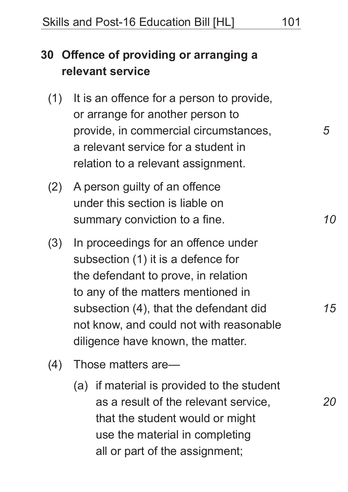# **30 Offence of providing or arranging a relevant service**

- (1) It is an offence for a person to provide, or arrange for another person to provide, in commercial circumstances, a relevant service for a student in relation to a relevant assignment.
- (2) A person guilty of an offence under this section is liable on summary conviction to a fine.
- (3) In proceedings for an offence under subsection (1) it is a defence for the defendant to prove, in relation to any of the matters mentioned in subsection (4), that the defendant did not know, and could not with reasonable diligence have known, the matter.
- (4) Those matters are—
	- (a) if material is provided to the student as a result of the relevant service, that the student would or might use the material in completing all or part of the assignment;

*5*

*10*

*15*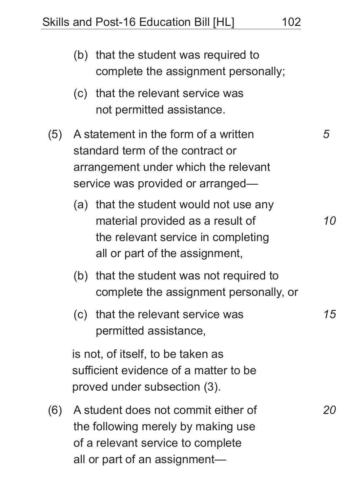|     |                                                                                                                                                       | (b) that the student was required to<br>complete the assignment personally;                                                                        |    |
|-----|-------------------------------------------------------------------------------------------------------------------------------------------------------|----------------------------------------------------------------------------------------------------------------------------------------------------|----|
|     |                                                                                                                                                       | (c) that the relevant service was<br>not permitted assistance.                                                                                     |    |
| (5) | A statement in the form of a written<br>standard term of the contract or<br>arrangement under which the relevant<br>service was provided or arranged- |                                                                                                                                                    | 5  |
|     |                                                                                                                                                       | (a) that the student would not use any<br>material provided as a result of<br>the relevant service in completing<br>all or part of the assignment, | 10 |
|     |                                                                                                                                                       | (b) that the student was not required to<br>complete the assignment personally, or                                                                 |    |
|     |                                                                                                                                                       | (c) that the relevant service was<br>permitted assistance,                                                                                         | 15 |
|     | is not, of itself, to be taken as<br>sufficient evidence of a matter to be<br>proved under subsection (3).                                            |                                                                                                                                                    |    |
| (6) | A student does not commit either of<br>the following merely by making use<br>of a relevant service to complete<br>all or part of an assignment—       |                                                                                                                                                    | 20 |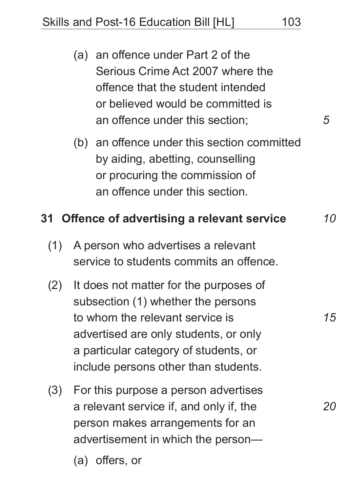Skills and Post-16 Education Bill [HL] 103

- (a) an offence under Part 2 of the Serious Crime Act 2007 where the offence that the student intended or believed would be committed is an offence under this section;
- (b) an offence under this section committed by aiding, abetting, counselling or procuring the commission of an offence under this section.

#### **31 Offence of advertising a relevant service**

- (1) A person who advertises a relevant service to students commits an offence.
- (2) It does not matter for the purposes of subsection (1) whether the persons to whom the relevant service is advertised are only students, or only a particular category of students, or include persons other than students.
- (3) For this purpose a person advertises a relevant service if, and only if, the person makes arrangements for an advertisement in which the person—
	- (a) offers, or

*5*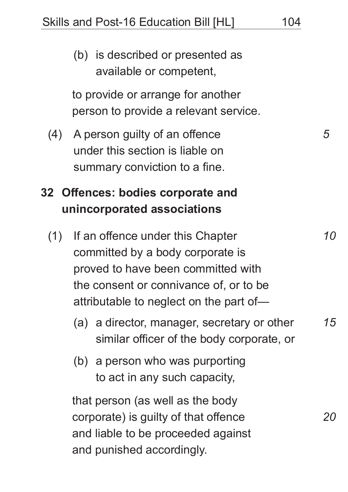(b) is described or presented as available or competent, to provide or arrange for another person to provide a relevant service. (4) A person guilty of an offence under this section is liable on summary conviction to a fine. **32 Offences: bodies corporate and unincorporated associations** (1) If an offence under this Chapter committed by a body corporate is proved to have been committed with the consent or connivance of, or to be attributable to neglect on the part of— (a) a director, manager, secretary or other similar officer of the body corporate, or (b) a person who was purporting to act in any such capacity, that person (as well as the body corporate) is guilty of that offence and liable to be proceeded against and punished accordingly. *5 10 15 20*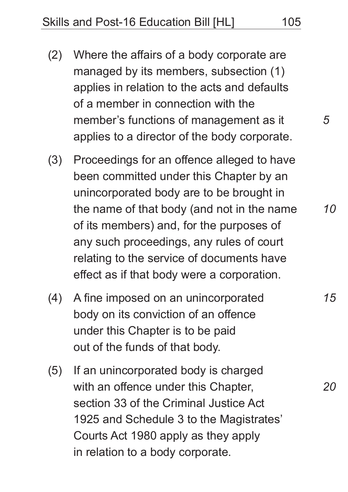- (2) Where the affairs of a body corporate are managed by its members, subsection (1) applies in relation to the acts and defaults of a member in connection with the member's functions of management as it applies to a director of the body corporate.
- (3) Proceedings for an offence alleged to have been committed under this Chapter by an unincorporated body are to be brought in the name of that body (and not in the name of its members) and, for the purposes of any such proceedings, any rules of court relating to the service of documents have effect as if that body were a corporation.
- (4) A fine imposed on an unincorporated body on its conviction of an offence under this Chapter is to be paid out of the funds of that body.
- (5) If an unincorporated body is charged with an offence under this Chapter, section 33 of the Criminal Justice Act 1925 and Schedule 3 to the Magistrates' Courts Act 1980 apply as they apply in relation to a body corporate.

*5*

*10*

*15*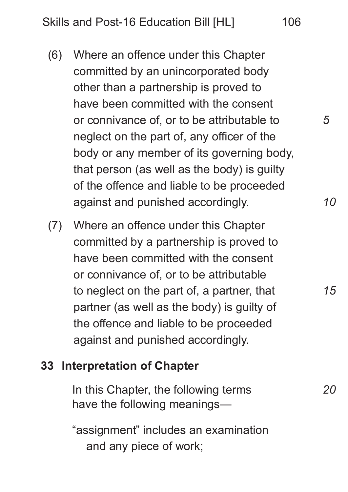- (6) Where an offence under this Chapter committed by an unincorporated body other than a partnership is proved to have been committed with the consent or connivance of, or to be attributable to neglect on the part of, any officer of the body or any member of its governing body, that person (as well as the body) is guilty of the offence and liable to be proceeded against and punished accordingly.
- (7) Where an offence under this Chapter committed by a partnership is proved to have been committed with the consent or connivance of, or to be attributable to neglect on the part of, a partner, that partner (as well as the body) is guilty of the offence and liable to be proceeded against and punished accordingly.

#### **33 Interpretation of Chapter**

In this Chapter, the following terms have the following meanings—

"assignment" includes an examination and any piece of work;

*15*

*10*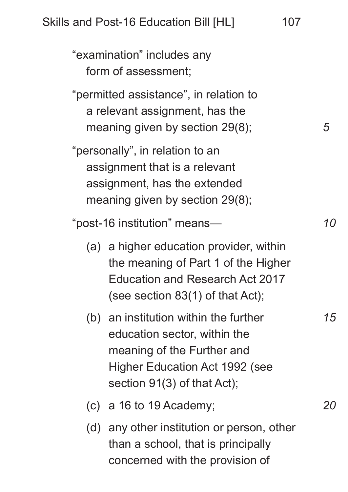"examination" includes any form of assessment; "permitted assistance", in relation to a relevant assignment, has the meaning given by section 29(8); "personally", in relation to an assignment that is a relevant assignment, has the extended meaning given by section 29(8); "post-16 institution" means— (a) a higher education provider, within the meaning of Part 1 of the Higher Education and Research Act 2017 (see section 83(1) of that Act); (b) an institution within the further education sector, within the meaning of the Further and Higher Education Act 1992 (see section 91(3) of that Act); (c) a 16 to 19 Academy; *5 10 15 20*

(d) any other institution or person, other than a school, that is principally concerned with the provision of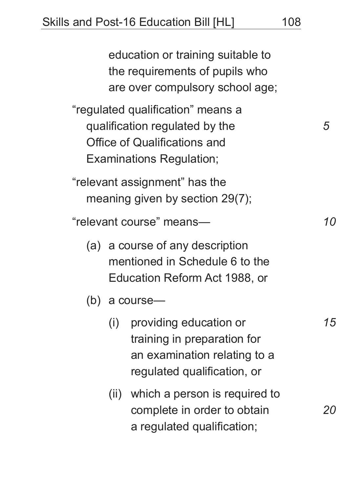education or training suitable to the requirements of pupils who are over compulsory school age; "regulated qualification" means a qualification regulated by the Office of Qualifications and Examinations Regulation; "relevant assignment" has the meaning given by section 29(7); "relevant course" means— (a) a course of any description mentioned in Schedule 6 to the Education Reform Act 1988, or (b) a course— (i) providing education or training in preparation for an examination relating to a regulated qualification, or (ii) which a person is required to complete in order to obtain a regulated qualification; *5 10 15 20*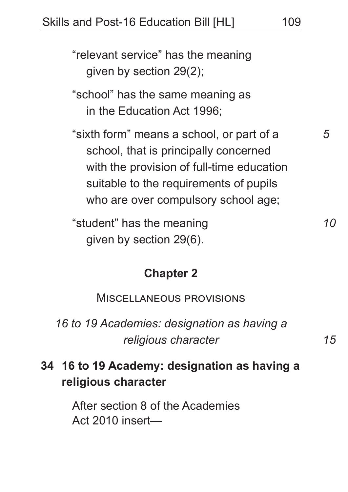"relevant service" has the meaning given by section 29(2);

"school" has the same meaning as in the Education Act 1996;

"sixth form" means a school, or part of a school, that is principally concerned with the provision of full-time education suitable to the requirements of pupils who are over compulsory school age;

"student" has the meaning given by section 29(6).

#### **Chapter 2**

Miscellaneous provisions

*16 to 19 Academies: designation as having a religious character*

# **34 16 to 19 Academy: designation as having a religious character**

After section 8 of the Academies Act 2010 insert—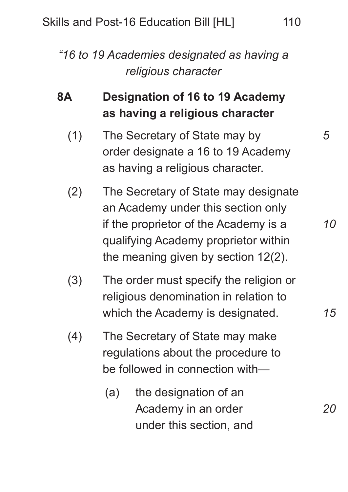*"16 to 19 Academies designated as having a religious character*

# **8A Designation of 16 to 19 Academy as having a religious character**

- (1) The Secretary of State may by order designate a 16 to 19 Academy as having a religious character.
- (2) The Secretary of State may designate an Academy under this section only if the proprietor of the Academy is a qualifying Academy proprietor within the meaning given by section 12(2).
- (3) The order must specify the religion or religious denomination in relation to which the Academy is designated.
- (4) The Secretary of State may make regulations about the procedure to be followed in connection with—
	- (a) the designation of an Academy in an order under this section, and

*5*

*10*

*15*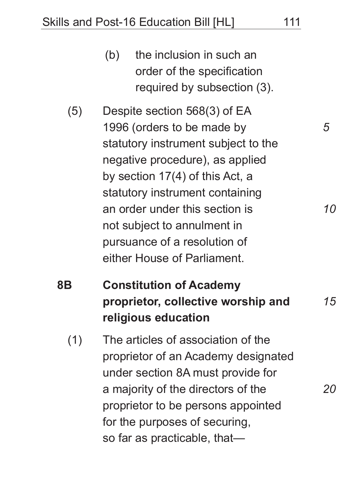- (b) the inclusion in such an order of the specification required by subsection (3).
- (5) Despite section 568(3) of EA 1996 (orders to be made by statutory instrument subject to the negative procedure), as applied by section 17(4) of this Act, a statutory instrument containing an order under this section is not subject to annulment in pursuance of a resolution of either House of Parliament.
- **8B Constitution of Academy proprietor, collective worship and religious education** *15*
	- (1) The articles of association of the proprietor of an Academy designated under section 8A must provide for a majority of the directors of the proprietor to be persons appointed for the purposes of securing, so far as practicable, that—

*5*

*10*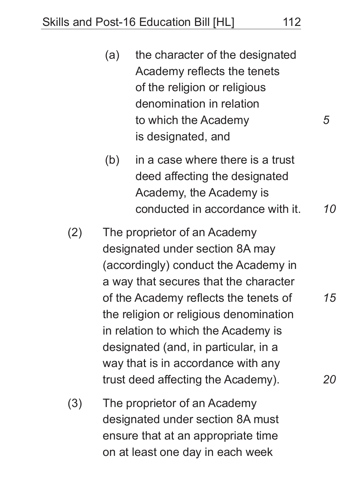- (a) the character of the designated Academy reflects the tenets of the religion or religious denomination in relation to which the Academy is designated, and
- (b) in a case where there is a trust deed affecting the designated Academy, the Academy is conducted in accordance with it.
- (2) The proprietor of an Academy designated under section 8A may (accordingly) conduct the Academy in a way that secures that the character of the Academy reflects the tenets of the religion or religious denomination in relation to which the Academy is designated (and, in particular, in a way that is in accordance with any trust deed affecting the Academy).
- (3) The proprietor of an Academy designated under section 8A must ensure that at an appropriate time on at least one day in each week

*5*

*10*

*15*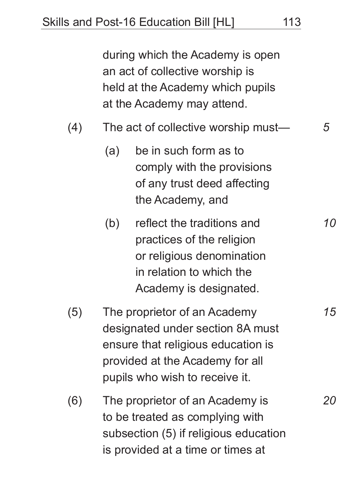during which the Academy is open an act of collective worship is held at the Academy which pupils at the Academy may attend.

- (4) The act of collective worship must— *5*
	- (a) be in such form as to comply with the provisions of any trust deed affecting the Academy, and
	- (b) reflect the traditions and practices of the religion or religious denomination in relation to which the Academy is designated.
- (5) The proprietor of an Academy designated under section 8A must ensure that religious education is provided at the Academy for all pupils who wish to receive it.
- (6) The proprietor of an Academy is to be treated as complying with subsection (5) if religious education is provided at a time or times at

*10*

*15*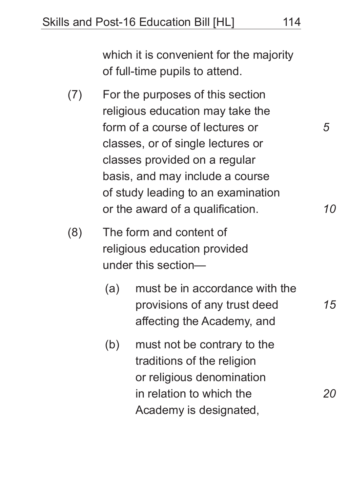which it is convenient for the majority of full-time pupils to attend.

(7) For the purposes of this section religious education may take the form of a course of lectures or classes, or of single lectures or classes provided on a regular basis, and may include a course of study leading to an examination or the award of a qualification.

(8) The form and content of religious education provided under this section—

- (a) must be in accordance with the provisions of any trust deed affecting the Academy, and
- (b) must not be contrary to the traditions of the religion or religious denomination in relation to which the Academy is designated,

*5*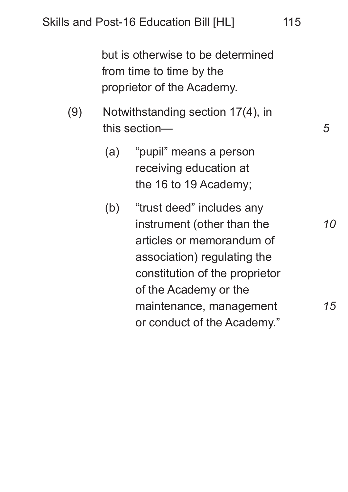but is otherwise to be determined from time to time by the proprietor of the Academy.

- (9) Notwithstanding section 17(4), in this section—
	- (a) "pupil" means a person receiving education at the 16 to 19 Academy;
	- (b) "trust deed" includes any instrument (other than the articles or memorandum of association) regulating the constitution of the proprietor of the Academy or the maintenance, management or conduct of the Academy."

*15*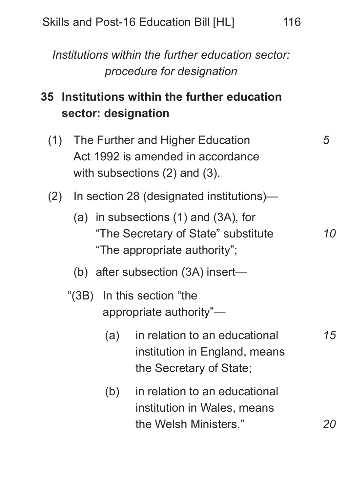*Institutions within the further education sector: procedure for designation*

# **35 Institutions within the further education sector: designation**

- (1) The Further and Higher Education Act 1992 is amended in accordance with subsections (2) and (3).
- (2) In section 28 (designated institutions)—
	- (a) in subsections (1) and (3A), for "The Secretary of State" substitute "The appropriate authority";
	- (b) after subsection (3A) insert—
	- "(3B) In this section "the appropriate authority"—
		- (a) in relation to an educational institution in England, means the Secretary of State;
		- (b) in relation to an educational institution in Wales, means the Welsh Ministers."

*5*

*20*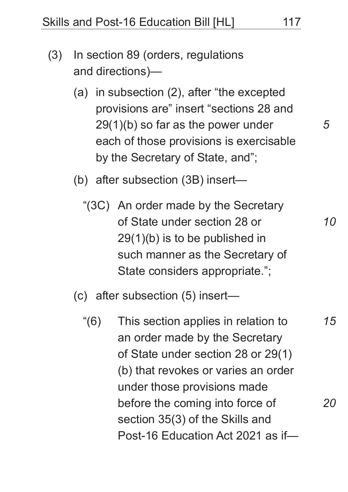- (3) In section 89 (orders, regulations and directions)—
	- (a) in subsection (2), after "the excepted provisions are" insert "sections 28 and 29(1)(b) so far as the power under each of those provisions is exercisable by the Secretary of State, and";

(b) after subsection (3B) insert—

"(3C) An order made by the Secretary of State under section 28 or 29(1)(b) is to be published in such manner as the Secretary of State considers appropriate.";

(c) after subsection (5) insert—

"(6) This section applies in relation to an order made by the Secretary of State under section 28 or 29(1) (b) that revokes or varies an order under those provisions made before the coming into force of section 35(3) of the Skills and Post-16 Education Act 2021 as if—

*5*

*10*

*15*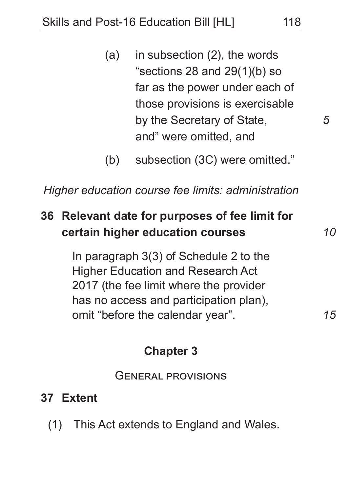- (a) in subsection (2), the words "sections 28 and 29(1)(b) so far as the power under each of those provisions is exercisable by the Secretary of State, and" were omitted, and
- (b) subsection (3C) were omitted."

*Higher education course fee limits: administration*

# **36 Relevant date for purposes of fee limit for certain higher education courses**

In paragraph 3(3) of Schedule 2 to the Higher Education and Research Act 2017 (the fee limit where the provider has no access and participation plan), omit "before the calendar year".

#### **Chapter 3**

General provisions

#### **37 Extent**

(1) This Act extends to England and Wales.

*15*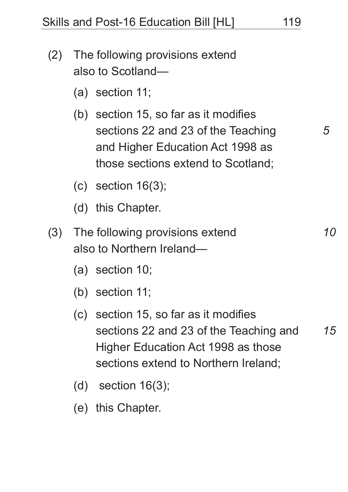- (2) The following provisions extend also to Scotland—
	- (a) section 11;
	- (b) section 15, so far as it modifies sections 22 and 23 of the Teaching and Higher Education Act 1998 as those sections extend to Scotland;
	- (c) section 16(3);
	- (d) this Chapter.
- (3) The following provisions extend also to Northern Ireland—
	- (a) section 10;
	- (b) section 11;
	- (c) section 15, so far as it modifies sections 22 and 23 of the Teaching and Higher Education Act 1998 as those sections extend to Northern Ireland; *15*
	- (d) section 16(3);
	- (e) this Chapter.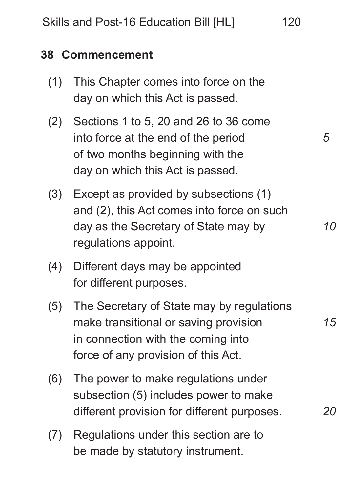#### **38 Commencement**

- (1) This Chapter comes into force on the day on which this Act is passed.
- (2) Sections 1 to 5, 20 and 26 to 36 come into force at the end of the period of two months beginning with the day on which this Act is passed.
- (3) Except as provided by subsections (1) and (2), this Act comes into force on such day as the Secretary of State may by regulations appoint.
- (4) Different days may be appointed for different purposes.
- (5) The Secretary of State may by regulations make transitional or saving provision in connection with the coming into force of any provision of this Act.
- (6) The power to make regulations under subsection (5) includes power to make different provision for different purposes.
- (7) Regulations under this section are to be made by statutory instrument.

*5*

*10*

*15*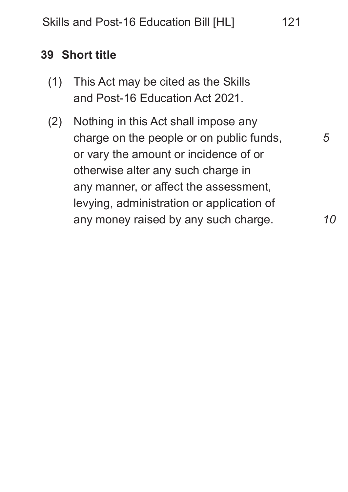#### **39 Short title**

- (1) This Act may be cited as the Skills and Post-16 Education Act 2021.
- (2) Nothing in this Act shall impose any charge on the people or on public funds, or vary the amount or incidence of or otherwise alter any such charge in any manner, or affect the assessment, levying, administration or application of any money raised by any such charge.

*10*